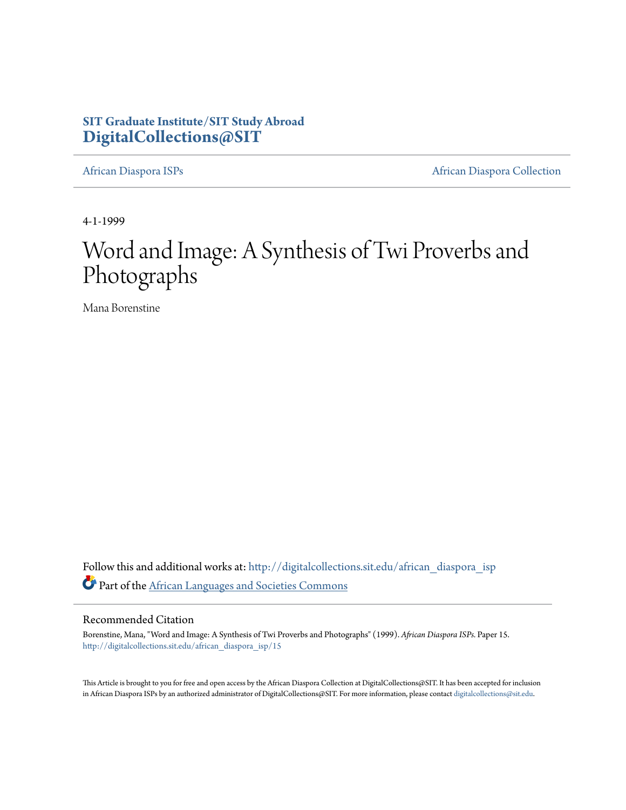### **SIT Graduate Institute/SIT Study Abroad [DigitalCollections@SIT](http://digitalcollections.sit.edu?utm_source=digitalcollections.sit.edu%2Fafrican_diaspora_isp%2F15&utm_medium=PDF&utm_campaign=PDFCoverPages)**

[African Diaspora ISPs](http://digitalcollections.sit.edu/african_diaspora_isp?utm_source=digitalcollections.sit.edu%2Fafrican_diaspora_isp%2F15&utm_medium=PDF&utm_campaign=PDFCoverPages) **[African Diaspora Collection](http://digitalcollections.sit.edu/african_diaspora?utm_source=digitalcollections.sit.edu%2Fafrican_diaspora_isp%2F15&utm_medium=PDF&utm_campaign=PDFCoverPages)** 

4-1-1999

## Word and Image: A Synthesis of Twi Proverbs and Photographs

Mana Borenstine

Follow this and additional works at: [http://digitalcollections.sit.edu/african\\_diaspora\\_isp](http://digitalcollections.sit.edu/african_diaspora_isp?utm_source=digitalcollections.sit.edu%2Fafrican_diaspora_isp%2F15&utm_medium=PDF&utm_campaign=PDFCoverPages) Part of the [African Languages and Societies Commons](http://network.bepress.com/hgg/discipline/476?utm_source=digitalcollections.sit.edu%2Fafrican_diaspora_isp%2F15&utm_medium=PDF&utm_campaign=PDFCoverPages)

#### Recommended Citation

Borenstine, Mana, "Word and Image: A Synthesis of Twi Proverbs and Photographs" (1999). *African Diaspora ISPs.* Paper 15. [http://digitalcollections.sit.edu/african\\_diaspora\\_isp/15](http://digitalcollections.sit.edu/african_diaspora_isp/15?utm_source=digitalcollections.sit.edu%2Fafrican_diaspora_isp%2F15&utm_medium=PDF&utm_campaign=PDFCoverPages)

This Article is brought to you for free and open access by the African Diaspora Collection at DigitalCollections@SIT. It has been accepted for inclusion in African Diaspora ISPs by an authorized administrator of DigitalCollections@SIT. For more information, please contact [digitalcollections@sit.edu.](mailto:digitalcollections@sit.edu)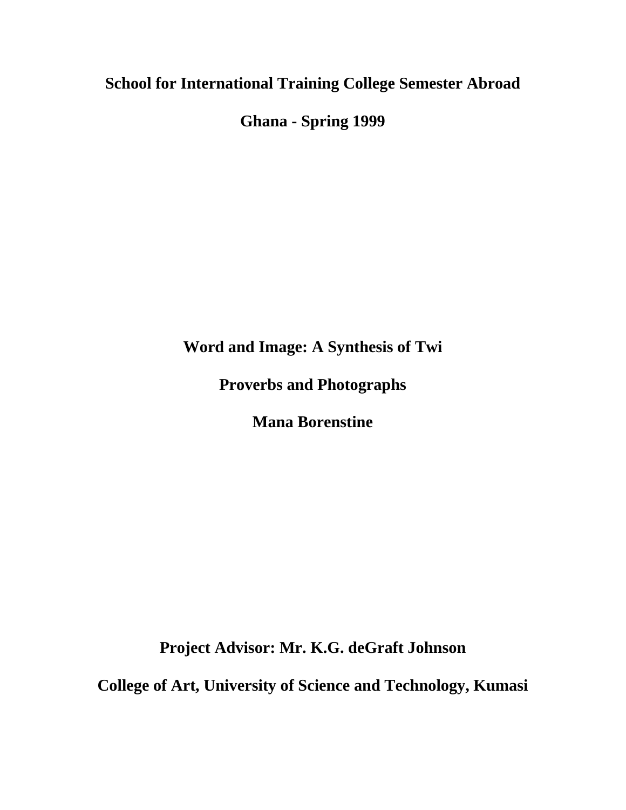# **School for International Training College Semester Abroad**

**Ghana - Spring 1999** 

**Word and Image: A Synthesis of Twi** 

**Proverbs and Photographs** 

**Mana Borenstine** 

**Project Advisor: Mr. K.G. deGraft Johnson** 

**College of Art, University of Science and Technology, Kumasi**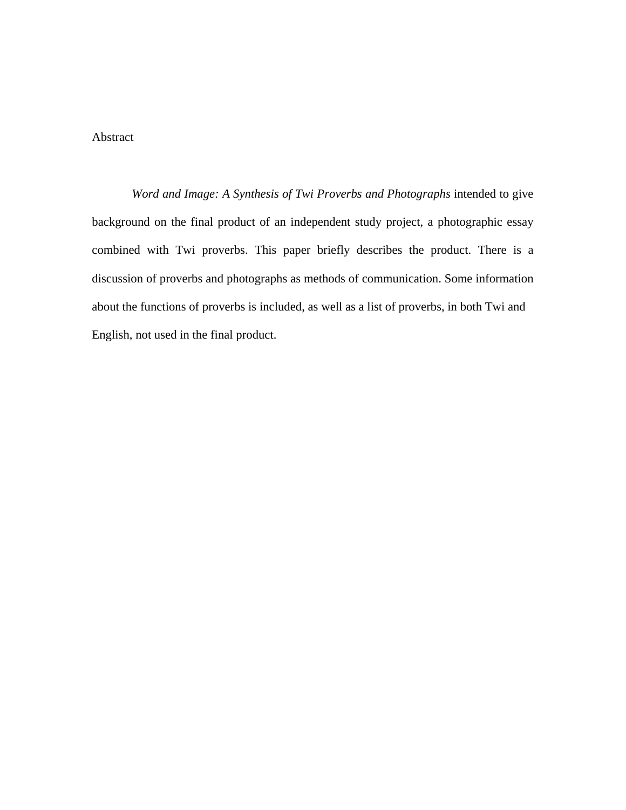#### Abstract

*Word and Image: A Synthesis of Twi Proverbs and Photographs* intended to give background on the final product of an independent study project, a photographic essay combined with Twi proverbs. This paper briefly describes the product. There is a discussion of proverbs and photographs as methods of communication. Some information about the functions of proverbs is included, as well as a list of proverbs, in both Twi and English, not used in the final product.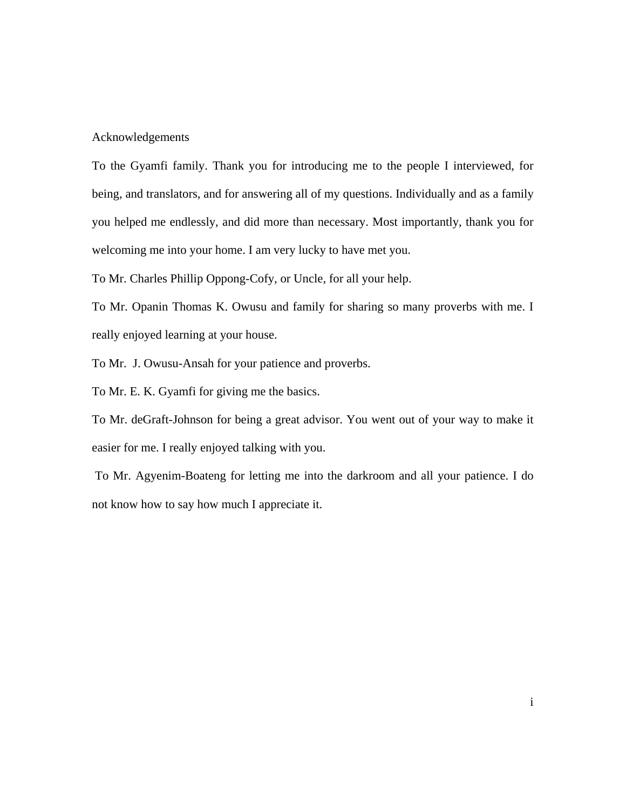#### Acknowledgements

To the Gyamfi family. Thank you for introducing me to the people I interviewed, for being, and translators, and for answering all of my questions. Individually and as a family you helped me endlessly, and did more than necessary. Most importantly, thank you for welcoming me into your home. I am very lucky to have met you.

To Mr. Charles Phillip Oppong-Cofy, or Uncle, for all your help.

To Mr. Opanin Thomas K. Owusu and family for sharing so many proverbs with me. I really enjoyed learning at your house.

To Mr. J. Owusu-Ansah for your patience and proverbs.

To Mr. E. K. Gyamfi for giving me the basics.

To Mr. deGraft-Johnson for being a great advisor. You went out of your way to make it easier for me. I really enjoyed talking with you.

 To Mr. Agyenim-Boateng for letting me into the darkroom and all your patience. I do not know how to say how much I appreciate it.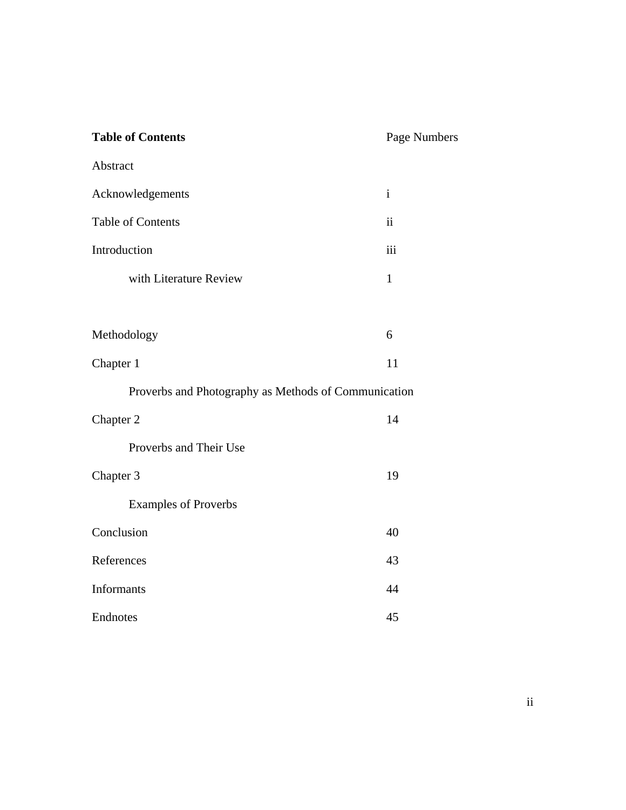| <b>Table of Contents</b>                             | Page Numbers            |
|------------------------------------------------------|-------------------------|
| Abstract                                             |                         |
| Acknowledgements                                     | $\mathbf{i}$            |
| <b>Table of Contents</b>                             | $\overline{\mathbf{u}}$ |
| Introduction                                         | iii                     |
| with Literature Review                               | $\mathbf{1}$            |
|                                                      |                         |
| Methodology                                          | 6                       |
| Chapter 1                                            | 11                      |
| Proverbs and Photography as Methods of Communication |                         |
| Chapter 2                                            | 14                      |
| Proverbs and Their Use                               |                         |
| Chapter 3                                            | 19                      |
| <b>Examples of Proverbs</b>                          |                         |
| Conclusion                                           | 40                      |
| References                                           | 43                      |
| Informants                                           | 44                      |
| Endnotes                                             | 45                      |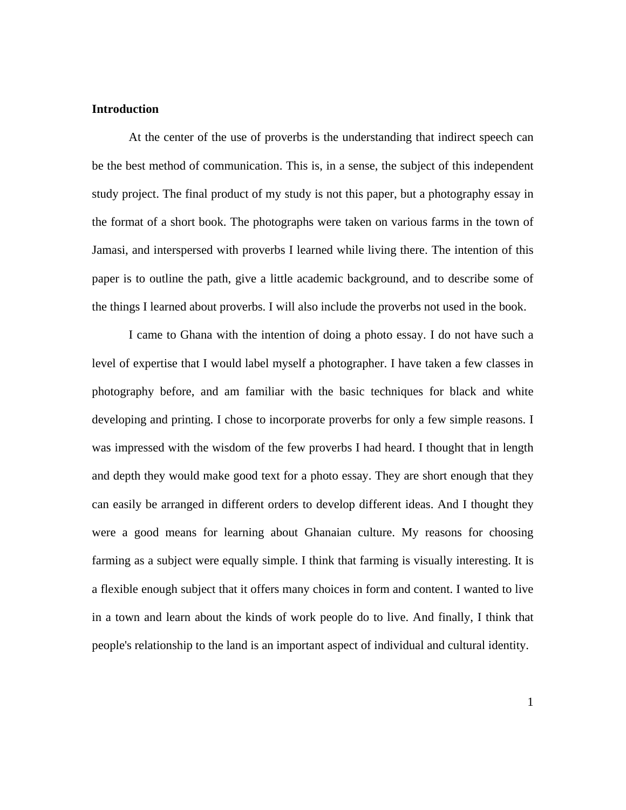#### **Introduction**

At the center of the use of proverbs is the understanding that indirect speech can be the best method of communication. This is, in a sense, the subject of this independent study project. The final product of my study is not this paper, but a photography essay in the format of a short book. The photographs were taken on various farms in the town of Jamasi, and interspersed with proverbs I learned while living there. The intention of this paper is to outline the path, give a little academic background, and to describe some of the things I learned about proverbs. I will also include the proverbs not used in the book.

I came to Ghana with the intention of doing a photo essay. I do not have such a level of expertise that I would label myself a photographer. I have taken a few classes in photography before, and am familiar with the basic techniques for black and white developing and printing. I chose to incorporate proverbs for only a few simple reasons. I was impressed with the wisdom of the few proverbs I had heard. I thought that in length and depth they would make good text for a photo essay. They are short enough that they can easily be arranged in different orders to develop different ideas. And I thought they were a good means for learning about Ghanaian culture. My reasons for choosing farming as a subject were equally simple. I think that farming is visually interesting. It is a flexible enough subject that it offers many choices in form and content. I wanted to live in a town and learn about the kinds of work people do to live. And finally, I think that people's relationship to the land is an important aspect of individual and cultural identity.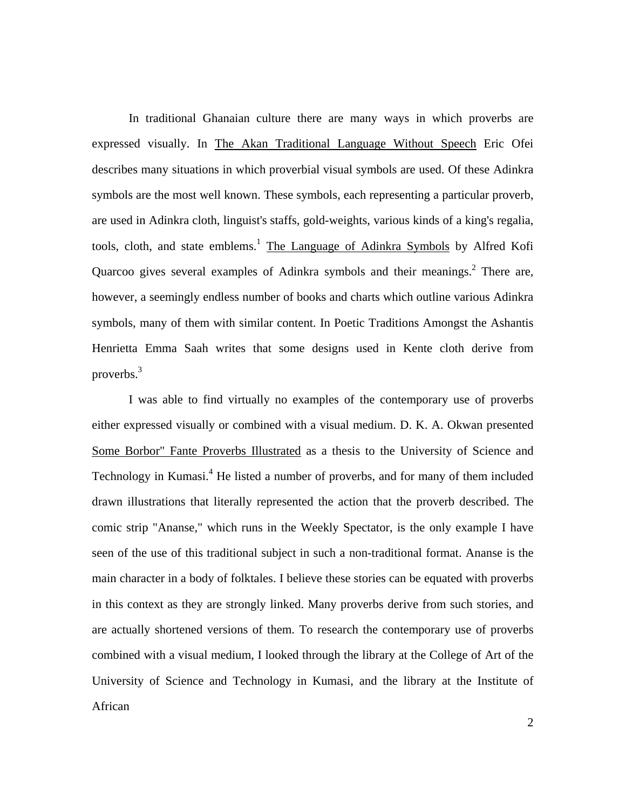In traditional Ghanaian culture there are many ways in which proverbs are expressed visually. In The Akan Traditional Language Without Speech Eric Ofei describes many situations in which proverbial visual symbols are used. Of these Adinkra symbols are the most well known. These symbols, each representing a particular proverb, are used in Adinkra cloth, linguist's staffs, gold-weights, various kinds of a king's regalia, tools, cloth, and state emblems.<sup>[1](#page-49-0)</sup> The Language of Adinkra Symbols by Alfred Kofi Quarcoo gives several examples of Adinkra symbols and their meanings. $<sup>2</sup>$  There are,</sup> however, a seemingly endless number of books and charts which outline various Adinkra symbols, many of them with similar content. In Poetic Traditions Amongst the Ashantis Henrietta Emma Saah writes that some designs used in Kente cloth derive from proverbs[.3](#page-49-2)

I was able to find virtually no examples of the contemporary use of proverbs either expressed visually or combined with a visual medium. D. K. A. Okwan presented Some Borbor" Fante Proverbs Illustrated as a thesis to the University of Science and Technology in Kumasi.<sup>[4](#page-49-3)</sup> He listed a number of proverbs, and for many of them included drawn illustrations that literally represented the action that the proverb described. The comic strip "Ananse," which runs in the Weekly Spectator, is the only example I have seen of the use of this traditional subject in such a non-traditional format. Ananse is the main character in a body of folktales. I believe these stories can be equated with proverbs in this context as they are strongly linked. Many proverbs derive from such stories, and are actually shortened versions of them. To research the contemporary use of proverbs combined with a visual medium, I looked through the library at the College of Art of the University of Science and Technology in Kumasi, and the library at the Institute of African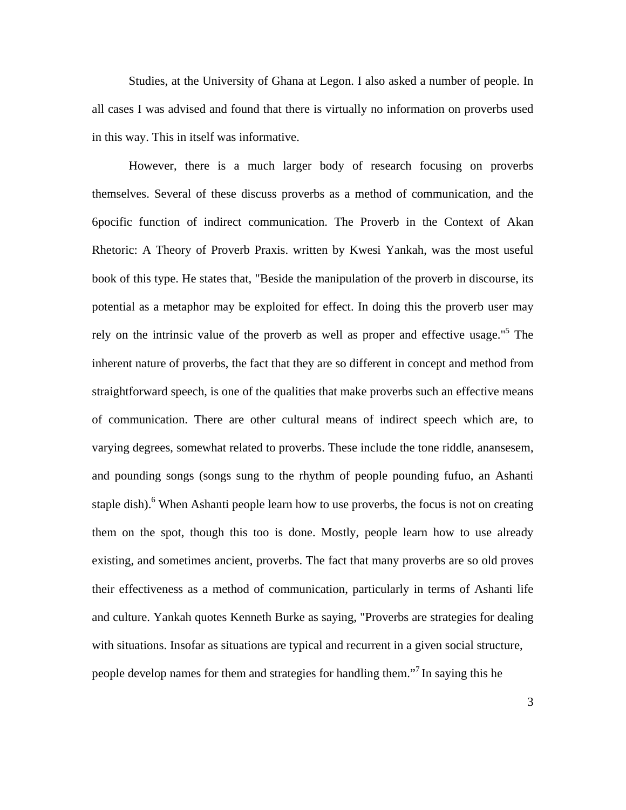Studies, at the University of Ghana at Legon. I also asked a number of people. In all cases I was advised and found that there is virtually no information on proverbs used in this way. This in itself was informative.

However, there is a much larger body of research focusing on proverbs themselves. Several of these discuss proverbs as a method of communication, and the 6pocific function of indirect communication. The Proverb in the Context of Akan Rhetoric: A Theory of Proverb Praxis. written by Kwesi Yankah, was the most useful book of this type. He states that, "Beside the manipulation of the proverb in discourse, its potential as a metaphor may be exploited for effect. In doing this the proverb user may rely on the intrinsic value of the proverb as well as proper and effective usage."<sup>5</sup> The inherent nature of proverbs, the fact that they are so different in concept and method from straightforward speech, is one of the qualities that make proverbs such an effective means of communication. There are other cultural means of indirect speech which are, to varying degrees, somewhat related to proverbs. These include the tone riddle, anansesem, and pounding songs (songs sung to the rhythm of people pounding fufuo, an Ashanti staple dish).<sup>6</sup> When Ashanti people learn how to use proverbs, the focus is not on creating them on the spot, though this too is done. Mostly, people learn how to use already existing, and sometimes ancient, proverbs. The fact that many proverbs are so old proves their effectiveness as a method of communication, particularly in terms of Ashanti life and culture. Yankah quotes Kenneth Burke as saying, "Proverbs are strategies for dealing with situations. Insofar as situations are typical and recurrent in a given social structure, people develop names for them and strategies for handling them."<sup>7</sup> In saying this he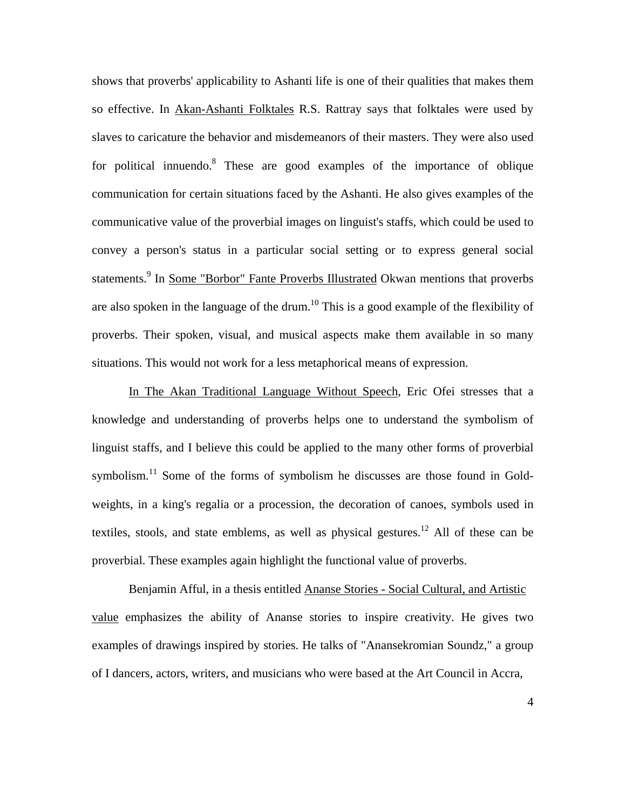shows that proverbs' applicability to Ashanti life is one of their qualities that makes them so effective. In Akan-Ashanti Folktales R.S. Rattray says that folktales were used by slaves to caricature the behavior and misdemeanors of their masters. They were also used for political innuendo.<sup>8</sup> These are good examples of the importance of oblique communication for certain situations faced by the Ashanti. He also gives examples of the communicative value of the proverbial images on linguist's staffs, which could be used to convey a person's status in a particular social setting or to express general social statements.<sup>9</sup> In <u>Some "Borbor" Fante Proverbs Illustrated</u> Okwan mentions that proverbs are also spoken in the language of the drum.<sup>10</sup> This is a good example of the flexibility of proverbs. Their spoken, visual, and musical aspects make them available in so many situations. This would not work for a less metaphorical means of expression.

In The Akan Traditional Language Without Speech, Eric Ofei stresses that a knowledge and understanding of proverbs helps one to understand the symbolism of linguist staffs, and I believe this could be applied to the many other forms of proverbial symbolism.<sup>11</sup> Some of the forms of symbolism he discusses are those found in Goldweights, in a king's regalia or a procession, the decoration of canoes, symbols used in textiles, stools, and state emblems, as well as physical gestures.<sup>12</sup> All of these can be proverbial. These examples again highlight the functional value of proverbs.

Benjamin Afful, in a thesis entitled Ananse Stories - Social Cultural, and Artistic value emphasizes the ability of Ananse stories to inspire creativity. He gives two examples of drawings inspired by stories. He talks of "Anansekromian Soundz," a group of I dancers, actors, writers, and musicians who were based at the Art Council in Accra,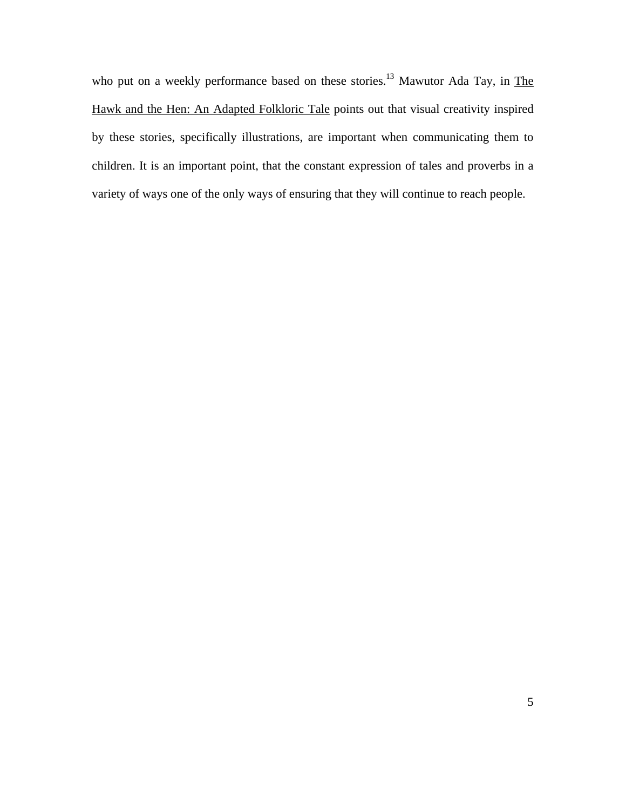who put on a weekly performance based on these stories.<sup>13</sup> Mawutor Ada Tay, in The Hawk and the Hen: An Adapted Folkloric Tale points out that visual creativity inspired by these stories, specifically illustrations, are important when communicating them to children. It is an important point, that the constant expression of tales and proverbs in a variety of ways one of the only ways of ensuring that they will continue to reach people.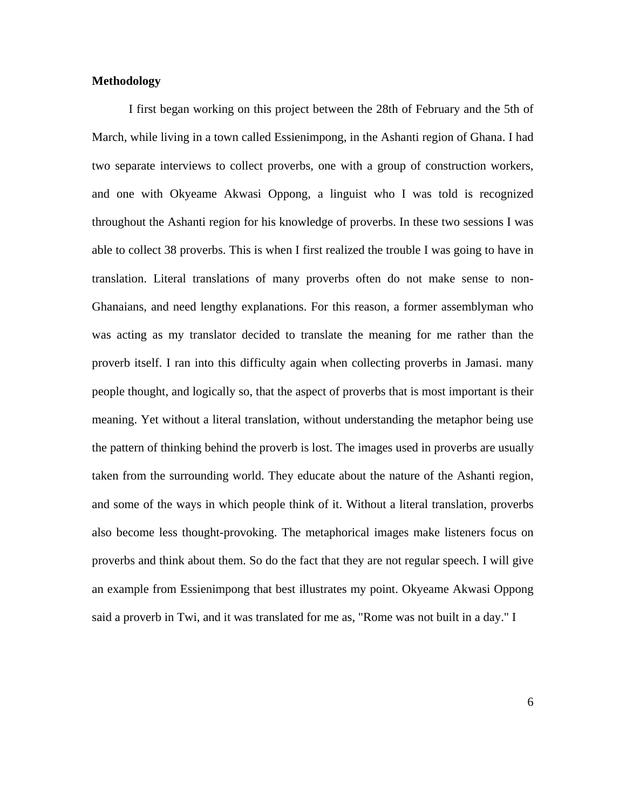#### **Methodology**

I first began working on this project between the 28th of February and the 5th of March, while living in a town called Essienimpong, in the Ashanti region of Ghana. I had two separate interviews to collect proverbs, one with a group of construction workers, and one with Okyeame Akwasi Oppong, a linguist who I was told is recognized throughout the Ashanti region for his knowledge of proverbs. In these two sessions I was able to collect 38 proverbs. This is when I first realized the trouble I was going to have in translation. Literal translations of many proverbs often do not make sense to non-Ghanaians, and need lengthy explanations. For this reason, a former assemblyman who was acting as my translator decided to translate the meaning for me rather than the proverb itself. I ran into this difficulty again when collecting proverbs in Jamasi. many people thought, and logically so, that the aspect of proverbs that is most important is their meaning. Yet without a literal translation, without understanding the metaphor being use the pattern of thinking behind the proverb is lost. The images used in proverbs are usually taken from the surrounding world. They educate about the nature of the Ashanti region, and some of the ways in which people think of it. Without a literal translation, proverbs also become less thought-provoking. The metaphorical images make listeners focus on proverbs and think about them. So do the fact that they are not regular speech. I will give an example from Essienimpong that best illustrates my point. Okyeame Akwasi Oppong said a proverb in Twi, and it was translated for me as, "Rome was not built in a day." I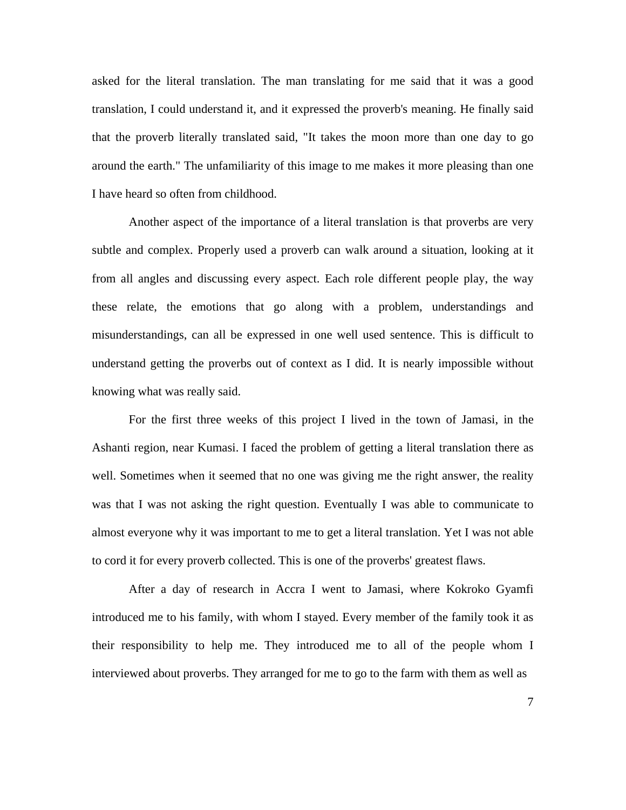asked for the literal translation. The man translating for me said that it was a good translation, I could understand it, and it expressed the proverb's meaning. He finally said that the proverb literally translated said, "It takes the moon more than one day to go around the earth." The unfamiliarity of this image to me makes it more pleasing than one I have heard so often from childhood.

Another aspect of the importance of a literal translation is that proverbs are very subtle and complex. Properly used a proverb can walk around a situation, looking at it from all angles and discussing every aspect. Each role different people play, the way these relate, the emotions that go along with a problem, understandings and misunderstandings, can all be expressed in one well used sentence. This is difficult to understand getting the proverbs out of context as I did. It is nearly impossible without knowing what was really said.

For the first three weeks of this project I lived in the town of Jamasi, in the Ashanti region, near Kumasi. I faced the problem of getting a literal translation there as well. Sometimes when it seemed that no one was giving me the right answer, the reality was that I was not asking the right question. Eventually I was able to communicate to almost everyone why it was important to me to get a literal translation. Yet I was not able to cord it for every proverb collected. This is one of the proverbs' greatest flaws.

After a day of research in Accra I went to Jamasi, where Kokroko Gyamfi introduced me to his family, with whom I stayed. Every member of the family took it as their responsibility to help me. They introduced me to all of the people whom I interviewed about proverbs. They arranged for me to go to the farm with them as well as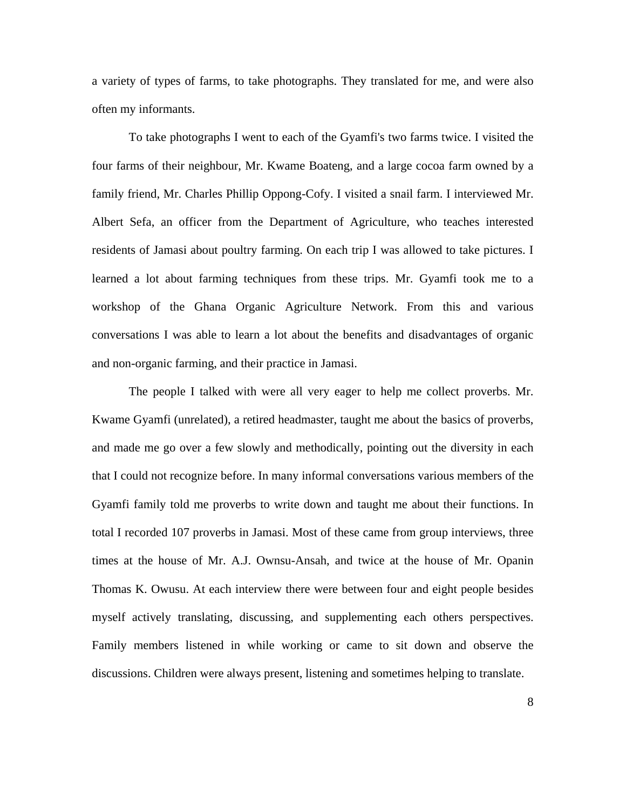a variety of types of farms, to take photographs. They translated for me, and were also often my informants.

To take photographs I went to each of the Gyamfi's two farms twice. I visited the four farms of their neighbour, Mr. Kwame Boateng, and a large cocoa farm owned by a family friend, Mr. Charles Phillip Oppong-Cofy. I visited a snail farm. I interviewed Mr. Albert Sefa, an officer from the Department of Agriculture, who teaches interested residents of Jamasi about poultry farming. On each trip I was allowed to take pictures. I learned a lot about farming techniques from these trips. Mr. Gyamfi took me to a workshop of the Ghana Organic Agriculture Network. From this and various conversations I was able to learn a lot about the benefits and disadvantages of organic and non-organic farming, and their practice in Jamasi.

The people I talked with were all very eager to help me collect proverbs. Mr. Kwame Gyamfi (unrelated), a retired headmaster, taught me about the basics of proverbs, and made me go over a few slowly and methodically, pointing out the diversity in each that I could not recognize before. In many informal conversations various members of the Gyamfi family told me proverbs to write down and taught me about their functions. In total I recorded 107 proverbs in Jamasi. Most of these came from group interviews, three times at the house of Mr. A.J. Ownsu-Ansah, and twice at the house of Mr. Opanin Thomas K. Owusu. At each interview there were between four and eight people besides myself actively translating, discussing, and supplementing each others perspectives. Family members listened in while working or came to sit down and observe the discussions. Children were always present, listening and sometimes helping to translate.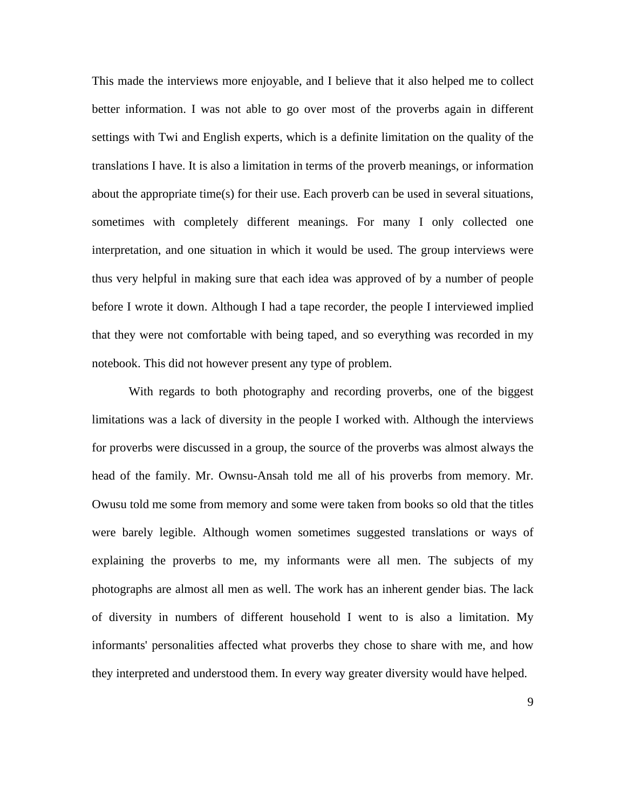This made the interviews more enjoyable, and I believe that it also helped me to collect better information. I was not able to go over most of the proverbs again in different settings with Twi and English experts, which is a definite limitation on the quality of the translations I have. It is also a limitation in terms of the proverb meanings, or information about the appropriate time(s) for their use. Each proverb can be used in several situations, sometimes with completely different meanings. For many I only collected one interpretation, and one situation in which it would be used. The group interviews were thus very helpful in making sure that each idea was approved of by a number of people before I wrote it down. Although I had a tape recorder, the people I interviewed implied that they were not comfortable with being taped, and so everything was recorded in my notebook. This did not however present any type of problem.

With regards to both photography and recording proverbs, one of the biggest limitations was a lack of diversity in the people I worked with. Although the interviews for proverbs were discussed in a group, the source of the proverbs was almost always the head of the family. Mr. Ownsu-Ansah told me all of his proverbs from memory. Mr. Owusu told me some from memory and some were taken from books so old that the titles were barely legible. Although women sometimes suggested translations or ways of explaining the proverbs to me, my informants were all men. The subjects of my photographs are almost all men as well. The work has an inherent gender bias. The lack of diversity in numbers of different household I went to is also a limitation. My informants' personalities affected what proverbs they chose to share with me, and how they interpreted and understood them. In every way greater diversity would have helped.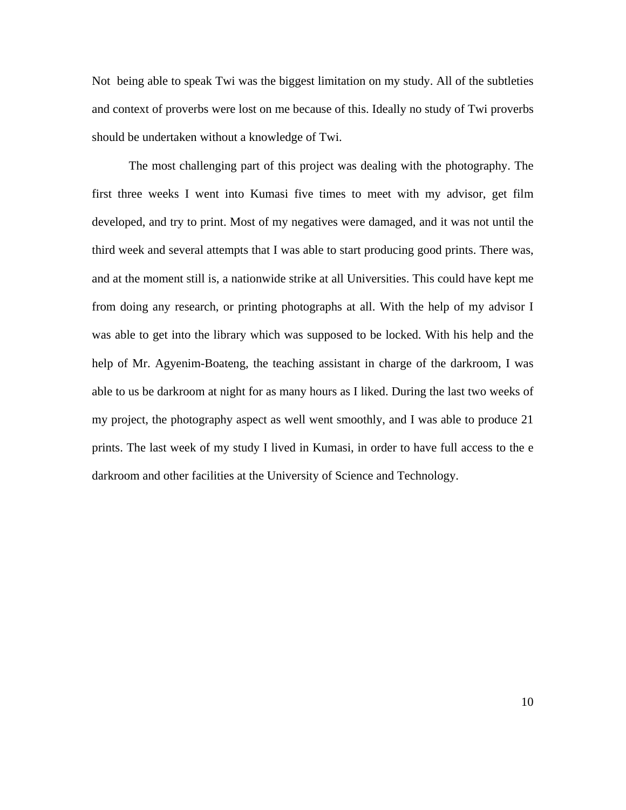Not being able to speak Twi was the biggest limitation on my study. All of the subtleties and context of proverbs were lost on me because of this. Ideally no study of Twi proverbs should be undertaken without a knowledge of Twi.

The most challenging part of this project was dealing with the photography. The first three weeks I went into Kumasi five times to meet with my advisor, get film developed, and try to print. Most of my negatives were damaged, and it was not until the third week and several attempts that I was able to start producing good prints. There was, and at the moment still is, a nationwide strike at all Universities. This could have kept me from doing any research, or printing photographs at all. With the help of my advisor I was able to get into the library which was supposed to be locked. With his help and the help of Mr. Agyenim-Boateng, the teaching assistant in charge of the darkroom, I was able to us be darkroom at night for as many hours as I liked. During the last two weeks of my project, the photography aspect as well went smoothly, and I was able to produce 21 prints. The last week of my study I lived in Kumasi, in order to have full access to the e darkroom and other facilities at the University of Science and Technology.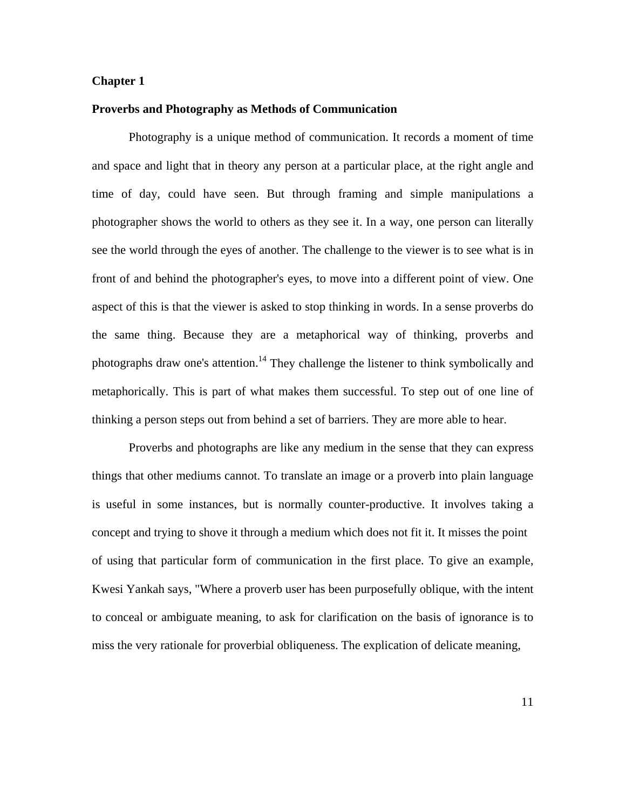#### **Chapter 1**

#### **Proverbs and Photography as Methods of Communication**

Photography is a unique method of communication. It records a moment of time and space and light that in theory any person at a particular place, at the right angle and time of day, could have seen. But through framing and simple manipulations a photographer shows the world to others as they see it. In a way, one person can literally see the world through the eyes of another. The challenge to the viewer is to see what is in front of and behind the photographer's eyes, to move into a different point of view. One aspect of this is that the viewer is asked to stop thinking in words. In a sense proverbs do the same thing. Because they are a metaphorical way of thinking, proverbs and photographs draw one's attention.<sup>14</sup> They challenge the listener to think symbolically and metaphorically. This is part of what makes them successful. To step out of one line of thinking a person steps out from behind a set of barriers. They are more able to hear.

Proverbs and photographs are like any medium in the sense that they can express things that other mediums cannot. To translate an image or a proverb into plain language is useful in some instances, but is normally counter-productive. It involves taking a concept and trying to shove it through a medium which does not fit it. It misses the point of using that particular form of communication in the first place. To give an example, Kwesi Yankah says, "Where a proverb user has been purposefully oblique, with the intent to conceal or ambiguate meaning, to ask for clarification on the basis of ignorance is to miss the very rationale for proverbial obliqueness. The explication of delicate meaning,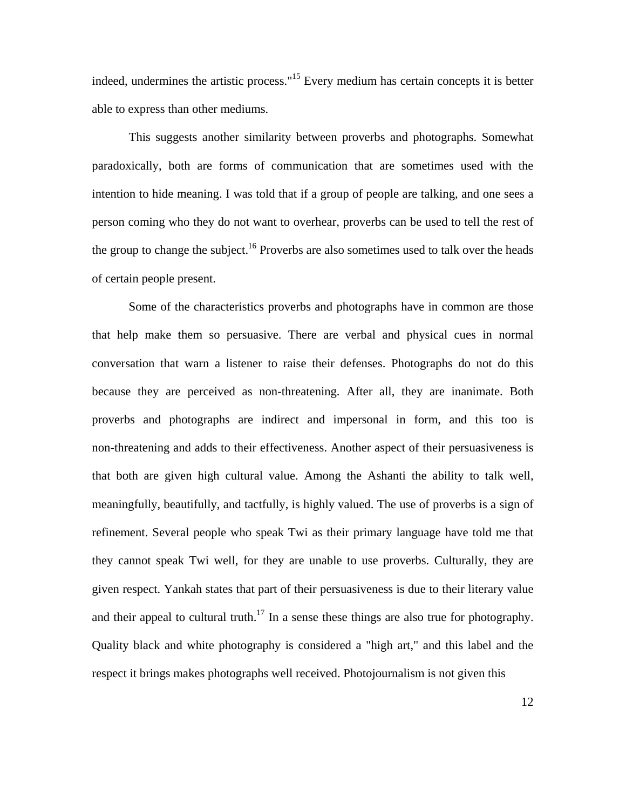indeed, undermines the artistic process."[15](#page-49-12) Every medium has certain concepts it is better able to express than other mediums.

This suggests another similarity between proverbs and photographs. Somewhat paradoxically, both are forms of communication that are sometimes used with the intention to hide meaning. I was told that if a group of people are talking, and one sees a person coming who they do not want to overhear, proverbs can be used to tell the rest of the group to change the subject.<sup>16</sup> Proverbs are also sometimes used to talk over the heads of certain people present.

Some of the characteristics proverbs and photographs have in common are those that help make them so persuasive. There are verbal and physical cues in normal conversation that warn a listener to raise their defenses. Photographs do not do this because they are perceived as non-threatening. After all, they are inanimate. Both proverbs and photographs are indirect and impersonal in form, and this too is non-threatening and adds to their effectiveness. Another aspect of their persuasiveness is that both are given high cultural value. Among the Ashanti the ability to talk well, meaningfully, beautifully, and tactfully, is highly valued. The use of proverbs is a sign of refinement. Several people who speak Twi as their primary language have told me that they cannot speak Twi well, for they are unable to use proverbs. Culturally, they are given respect. Yankah states that part of their persuasiveness is due to their literary value and their appeal to cultural truth.<sup>17</sup> In a sense these things are also true for photography. Quality black and white photography is considered a "high art," and this label and the respect it brings makes photographs well received. Photojournalism is not given this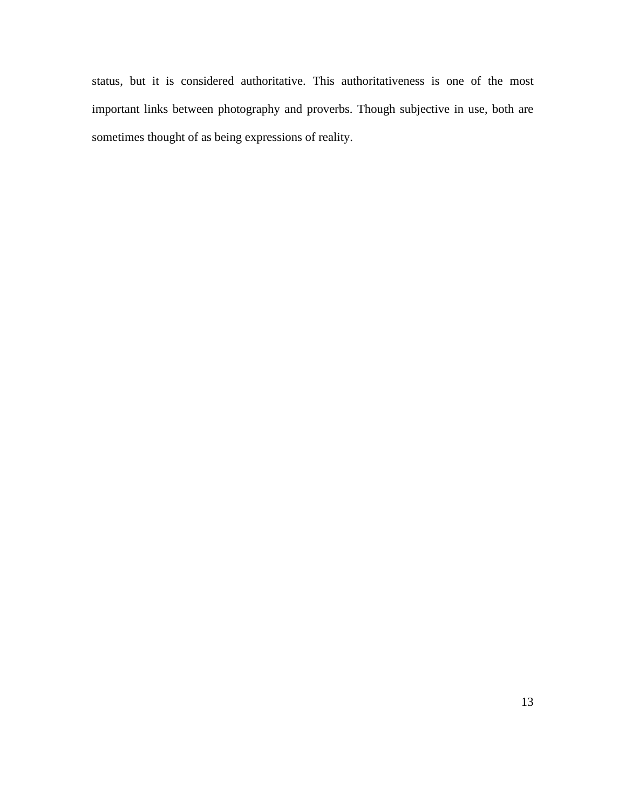status, but it is considered authoritative. This authoritativeness is one of the most important links between photography and proverbs. Though subjective in use, both are sometimes thought of as being expressions of reality.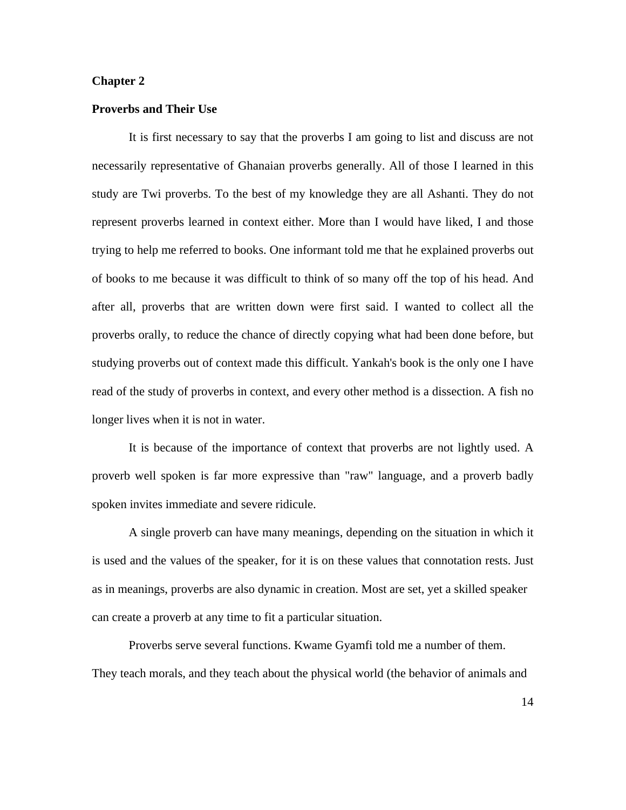#### **Chapter 2**

#### **Proverbs and Their Use**

It is first necessary to say that the proverbs I am going to list and discuss are not necessarily representative of Ghanaian proverbs generally. All of those I learned in this study are Twi proverbs. To the best of my knowledge they are all Ashanti. They do not represent proverbs learned in context either. More than I would have liked, I and those trying to help me referred to books. One informant told me that he explained proverbs out of books to me because it was difficult to think of so many off the top of his head. And after all, proverbs that are written down were first said. I wanted to collect all the proverbs orally, to reduce the chance of directly copying what had been done before, but studying proverbs out of context made this difficult. Yankah's book is the only one I have read of the study of proverbs in context, and every other method is a dissection. A fish no longer lives when it is not in water.

It is because of the importance of context that proverbs are not lightly used. A proverb well spoken is far more expressive than "raw" language, and a proverb badly spoken invites immediate and severe ridicule.

A single proverb can have many meanings, depending on the situation in which it is used and the values of the speaker, for it is on these values that connotation rests. Just as in meanings, proverbs are also dynamic in creation. Most are set, yet a skilled speaker can create a proverb at any time to fit a particular situation.

Proverbs serve several functions. Kwame Gyamfi told me a number of them. They teach morals, and they teach about the physical world (the behavior of animals and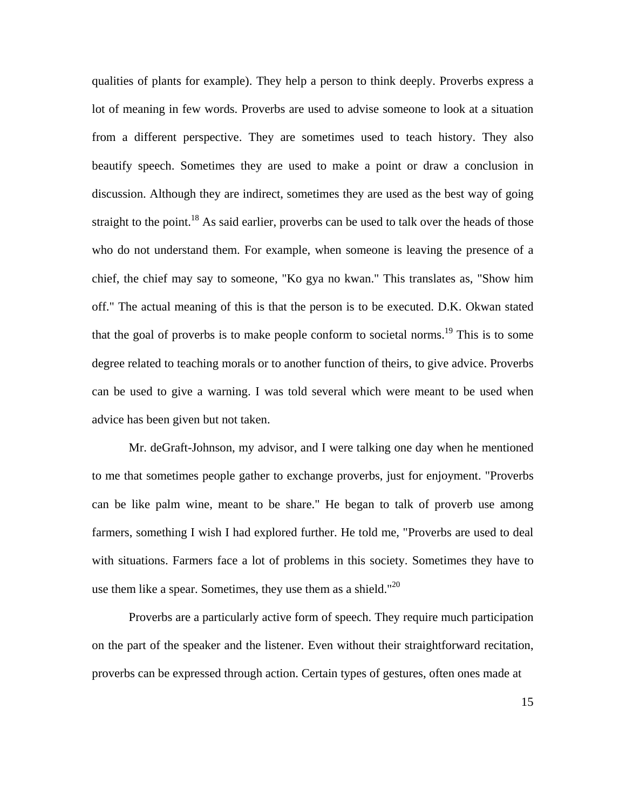qualities of plants for example). They help a person to think deeply. Proverbs express a lot of meaning in few words. Proverbs are used to advise someone to look at a situation from a different perspective. They are sometimes used to teach history. They also beautify speech. Sometimes they are used to make a point or draw a conclusion in discussion. Although they are indirect, sometimes they are used as the best way of going straight to the point.<sup>18</sup> As said earlier, proverbs can be used to talk over the heads of those who do not understand them. For example, when someone is leaving the presence of a chief, the chief may say to someone, "Ko gya no kwan." This translates as, "Show him off." The actual meaning of this is that the person is to be executed. D.K. Okwan stated that the goal of proverbs is to make people conform to societal norms.<sup>19</sup> This is to some degree related to teaching morals or to another function of theirs, to give advice. Proverbs can be used to give a warning. I was told several which were meant to be used when advice has been given but not taken.

Mr. deGraft-Johnson, my advisor, and I were talking one day when he mentioned to me that sometimes people gather to exchange proverbs, just for enjoyment. "Proverbs can be like palm wine, meant to be share." He began to talk of proverb use among farmers, something I wish I had explored further. He told me, "Proverbs are used to deal with situations. Farmers face a lot of problems in this society. Sometimes they have to use them like a spear. Sometimes, they use them as a shield."<sup>20</sup>

Proverbs are a particularly active form of speech. They require much participation on the part of the speaker and the listener. Even without their straightforward recitation, proverbs can be expressed through action. Certain types of gestures, often ones made at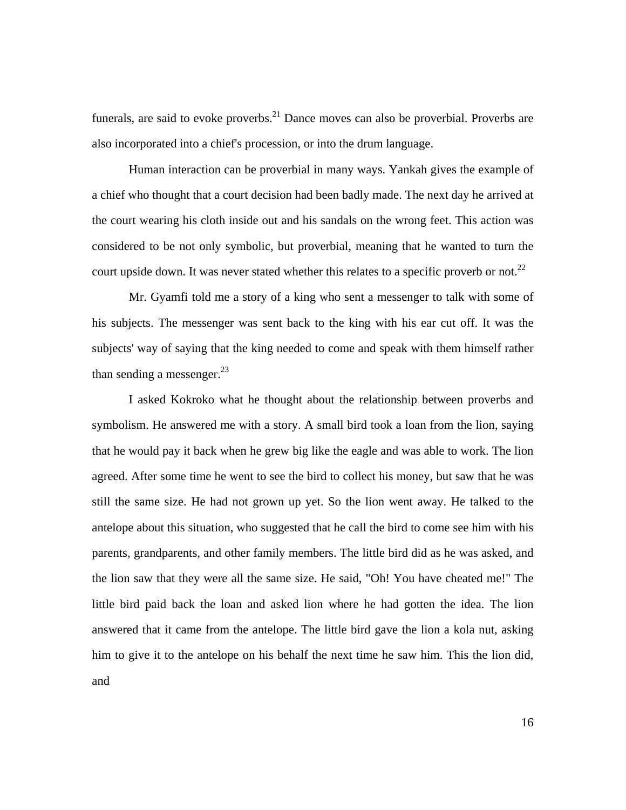funerals, are said to evoke proverbs.<sup>21</sup> Dance moves can also be proverbial. Proverbs are also incorporated into a chief's procession, or into the drum language.

Human interaction can be proverbial in many ways. Yankah gives the example of a chief who thought that a court decision had been badly made. The next day he arrived at the court wearing his cloth inside out and his sandals on the wrong feet. This action was considered to be not only symbolic, but proverbial, meaning that he wanted to turn the court upside down. It was never stated whether this relates to a specific proverb or not.<sup>22</sup>

Mr. Gyamfi told me a story of a king who sent a messenger to talk with some of his subjects. The messenger was sent back to the king with his ear cut off. It was the subjects' way of saying that the king needed to come and speak with them himself rather than sending a messenger. $^{23}$  $^{23}$  $^{23}$ 

I asked Kokroko what he thought about the relationship between proverbs and symbolism. He answered me with a story. A small bird took a loan from the lion, saying that he would pay it back when he grew big like the eagle and was able to work. The lion agreed. After some time he went to see the bird to collect his money, but saw that he was still the same size. He had not grown up yet. So the lion went away. He talked to the antelope about this situation, who suggested that he call the bird to come see him with his parents, grandparents, and other family members. The little bird did as he was asked, and the lion saw that they were all the same size. He said, "Oh! You have cheated me!" The little bird paid back the loan and asked lion where he had gotten the idea. The lion answered that it came from the antelope. The little bird gave the lion a kola nut, asking him to give it to the antelope on his behalf the next time he saw him. This the lion did, and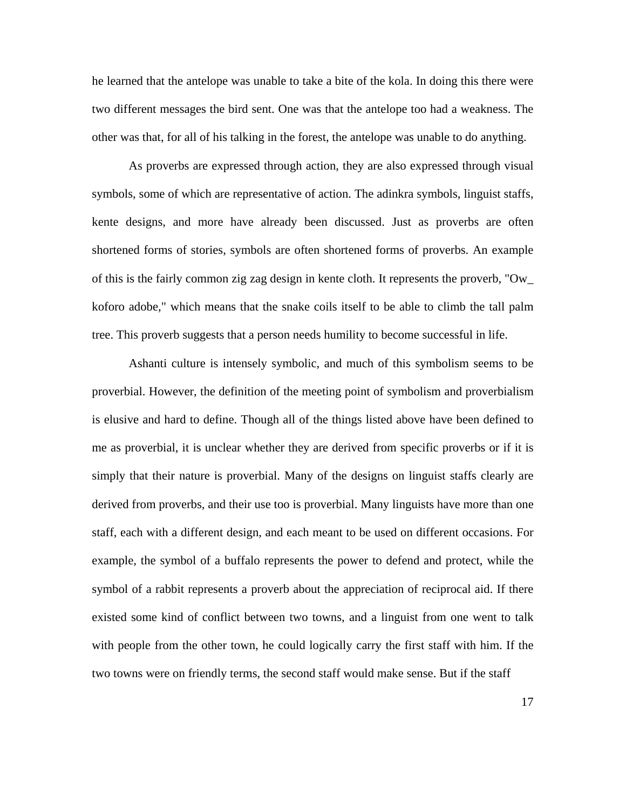he learned that the antelope was unable to take a bite of the kola. In doing this there were two different messages the bird sent. One was that the antelope too had a weakness. The other was that, for all of his talking in the forest, the antelope was unable to do anything.

As proverbs are expressed through action, they are also expressed through visual symbols, some of which are representative of action. The adinkra symbols, linguist staffs, kente designs, and more have already been discussed. Just as proverbs are often shortened forms of stories, symbols are often shortened forms of proverbs. An example of this is the fairly common zig zag design in kente cloth. It represents the proverb, "Ow\_ koforo adobe," which means that the snake coils itself to be able to climb the tall palm tree. This proverb suggests that a person needs humility to become successful in life.

Ashanti culture is intensely symbolic, and much of this symbolism seems to be proverbial. However, the definition of the meeting point of symbolism and proverbialism is elusive and hard to define. Though all of the things listed above have been defined to me as proverbial, it is unclear whether they are derived from specific proverbs or if it is simply that their nature is proverbial. Many of the designs on linguist staffs clearly are derived from proverbs, and their use too is proverbial. Many linguists have more than one staff, each with a different design, and each meant to be used on different occasions. For example, the symbol of a buffalo represents the power to defend and protect, while the symbol of a rabbit represents a proverb about the appreciation of reciprocal aid. If there existed some kind of conflict between two towns, and a linguist from one went to talk with people from the other town, he could logically carry the first staff with him. If the two towns were on friendly terms, the second staff would make sense. But if the staff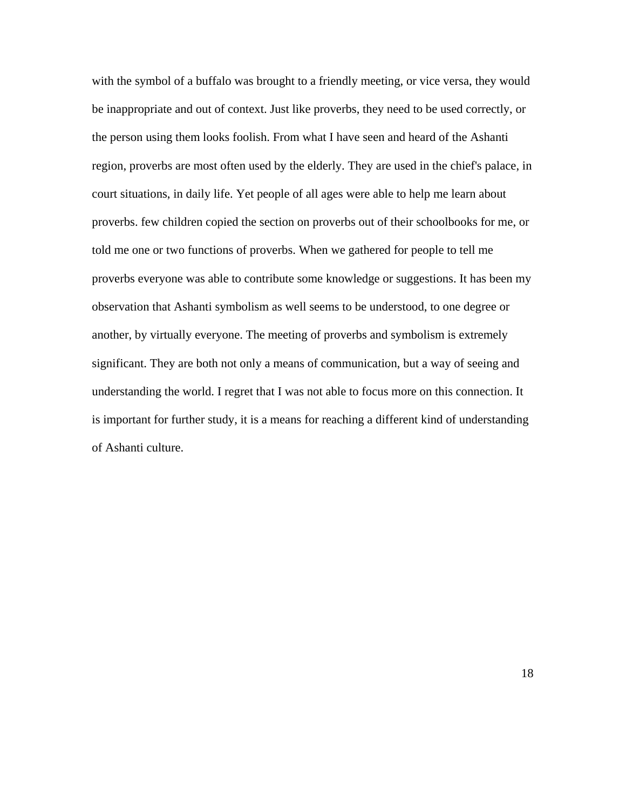with the symbol of a buffalo was brought to a friendly meeting, or vice versa, they would be inappropriate and out of context. Just like proverbs, they need to be used correctly, or the person using them looks foolish. From what I have seen and heard of the Ashanti region, proverbs are most often used by the elderly. They are used in the chief's palace, in court situations, in daily life. Yet people of all ages were able to help me learn about proverbs. few children copied the section on proverbs out of their schoolbooks for me, or told me one or two functions of proverbs. When we gathered for people to tell me proverbs everyone was able to contribute some knowledge or suggestions. It has been my observation that Ashanti symbolism as well seems to be understood, to one degree or another, by virtually everyone. The meeting of proverbs and symbolism is extremely significant. They are both not only a means of communication, but a way of seeing and understanding the world. I regret that I was not able to focus more on this connection. It is important for further study, it is a means for reaching a different kind of understanding of Ashanti culture.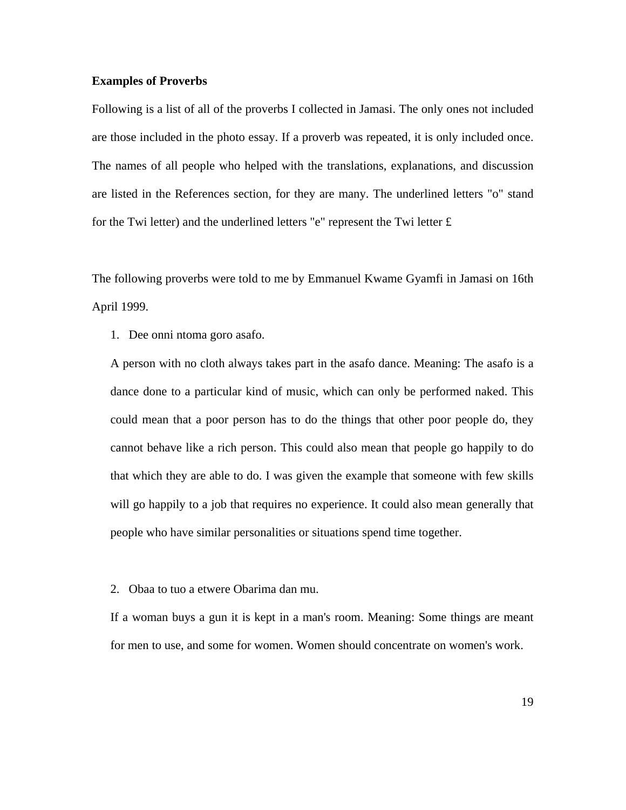#### **Examples of Proverbs**

Following is a list of all of the proverbs I collected in Jamasi. The only ones not included are those included in the photo essay. If a proverb was repeated, it is only included once. The names of all people who helped with the translations, explanations, and discussion are listed in the References section, for they are many. The underlined letters "o" stand for the Twi letter) and the underlined letters "e" represent the Twi letter  $\pounds$ 

The following proverbs were told to me by Emmanuel Kwame Gyamfi in Jamasi on 16th April 1999.

1. Dee onni ntoma goro asafo.

A person with no cloth always takes part in the asafo dance. Meaning: The asafo is a dance done to a particular kind of music, which can only be performed naked. This could mean that a poor person has to do the things that other poor people do, they cannot behave like a rich person. This could also mean that people go happily to do that which they are able to do. I was given the example that someone with few skills will go happily to a job that requires no experience. It could also mean generally that people who have similar personalities or situations spend time together.

2. Obaa to tuo a etwere Obarima dan mu.

If a woman buys a gun it is kept in a man's room. Meaning: Some things are meant for men to use, and some for women. Women should concentrate on women's work.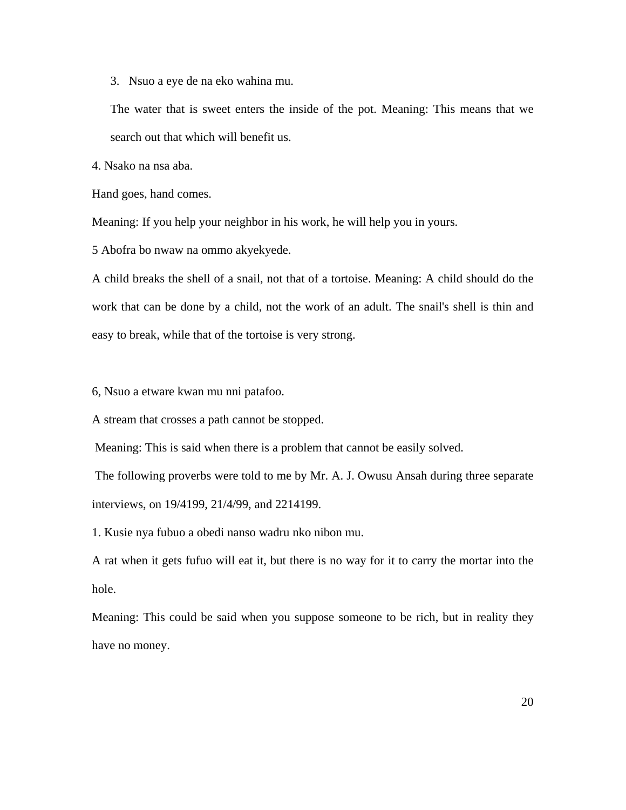3. Nsuo a eye de na eko wahina mu.

The water that is sweet enters the inside of the pot. Meaning: This means that we search out that which will benefit us.

4. Nsako na nsa aba.

Hand goes, hand comes.

Meaning: If you help your neighbor in his work, he will help you in yours.

5 Abofra bo nwaw na ommo akyekyede.

A child breaks the shell of a snail, not that of a tortoise. Meaning: A child should do the work that can be done by a child, not the work of an adult. The snail's shell is thin and easy to break, while that of the tortoise is very strong.

6, Nsuo a etware kwan mu nni patafoo.

A stream that crosses a path cannot be stopped.

Meaning: This is said when there is a problem that cannot be easily solved.

 The following proverbs were told to me by Mr. A. J. Owusu Ansah during three separate interviews, on 19/4199, 21/4/99, and 2214199.

1. Kusie nya fubuo a obedi nanso wadru nko nibon mu.

A rat when it gets fufuo will eat it, but there is no way for it to carry the mortar into the hole.

Meaning: This could be said when you suppose someone to be rich, but in reality they have no money.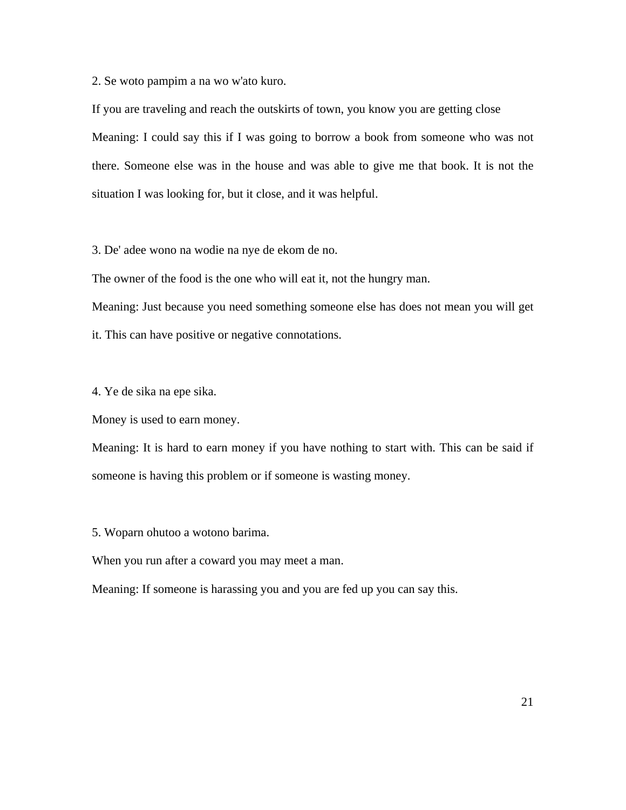2. Se woto pampim a na wo w'ato kuro.

If you are traveling and reach the outskirts of town, you know you are getting close Meaning: I could say this if I was going to borrow a book from someone who was not there. Someone else was in the house and was able to give me that book. It is not the situation I was looking for, but it close, and it was helpful.

3. De' adee wono na wodie na nye de ekom de no.

The owner of the food is the one who will eat it, not the hungry man.

Meaning: Just because you need something someone else has does not mean you will get it. This can have positive or negative connotations.

4. Ye de sika na epe sika.

Money is used to earn money.

Meaning: It is hard to earn money if you have nothing to start with. This can be said if someone is having this problem or if someone is wasting money.

5. Woparn ohutoo a wotono barima.

When you run after a coward you may meet a man.

Meaning: If someone is harassing you and you are fed up you can say this.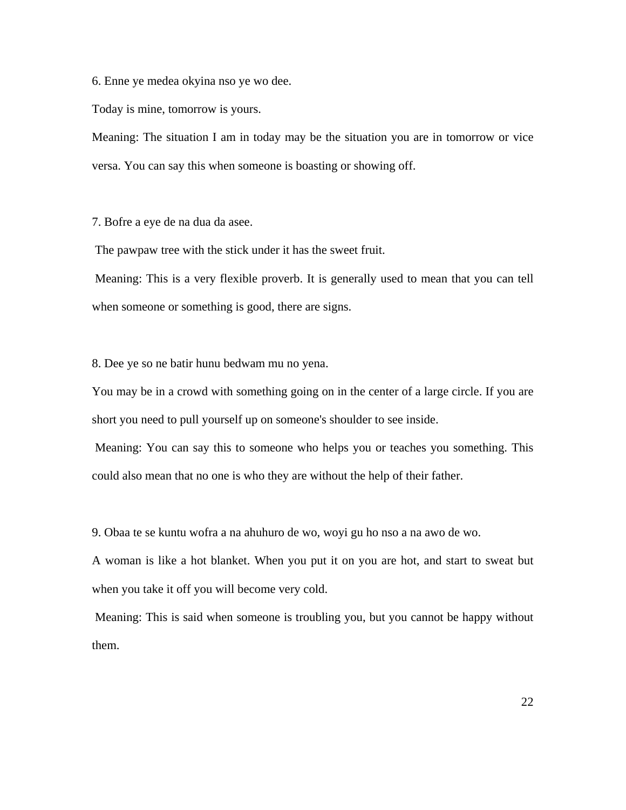6. Enne ye medea okyina nso ye wo dee.

Today is mine, tomorrow is yours.

Meaning: The situation I am in today may be the situation you are in tomorrow or vice versa. You can say this when someone is boasting or showing off.

7. Bofre a eye de na dua da asee.

The pawpaw tree with the stick under it has the sweet fruit.

 Meaning: This is a very flexible proverb. It is generally used to mean that you can tell when someone or something is good, there are signs.

8. Dee ye so ne batir hunu bedwam mu no yena.

You may be in a crowd with something going on in the center of a large circle. If you are short you need to pull yourself up on someone's shoulder to see inside.

 Meaning: You can say this to someone who helps you or teaches you something. This could also mean that no one is who they are without the help of their father.

9. Obaa te se kuntu wofra a na ahuhuro de wo, woyi gu ho nso a na awo de wo.

A woman is like a hot blanket. When you put it on you are hot, and start to sweat but when you take it off you will become very cold.

 Meaning: This is said when someone is troubling you, but you cannot be happy without them.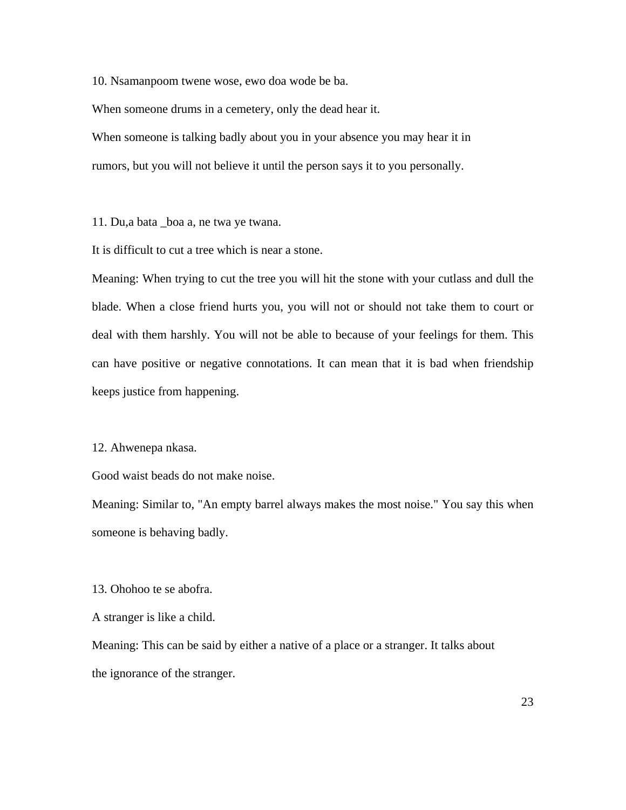10. Nsamanpoom twene wose, ewo doa wode be ba.

When someone drums in a cemetery, only the dead hear it. When someone is talking badly about you in your absence you may hear it in rumors, but you will not believe it until the person says it to you personally.

11. Du,a bata \_boa a, ne twa ye twana.

It is difficult to cut a tree which is near a stone.

Meaning: When trying to cut the tree you will hit the stone with your cutlass and dull the blade. When a close friend hurts you, you will not or should not take them to court or deal with them harshly. You will not be able to because of your feelings for them. This can have positive or negative connotations. It can mean that it is bad when friendship keeps justice from happening.

#### 12. Ahwenepa nkasa.

Good waist beads do not make noise.

Meaning: Similar to, "An empty barrel always makes the most noise." You say this when someone is behaving badly.

13. Ohohoo te se abofra.

A stranger is like a child.

Meaning: This can be said by either a native of a place or a stranger. It talks about the ignorance of the stranger.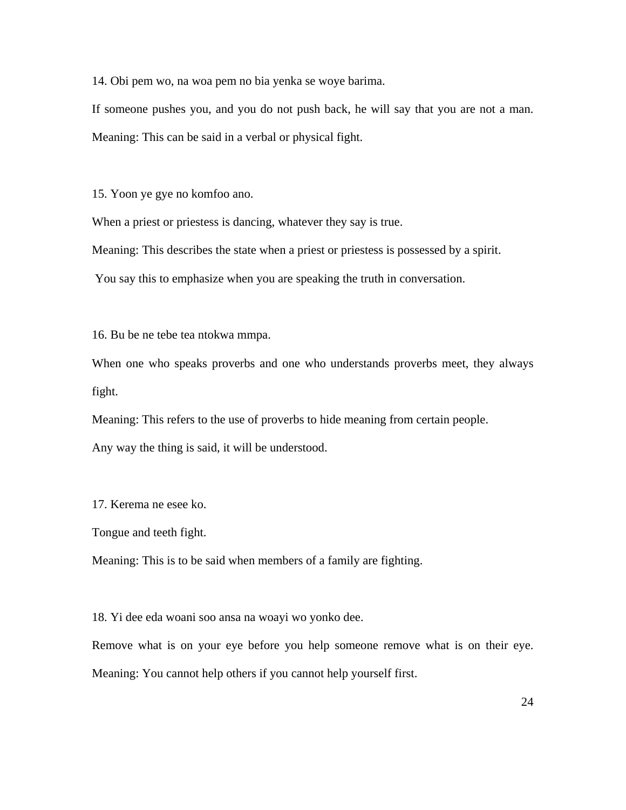14. Obi pem wo, na woa pem no bia yenka se woye barima.

If someone pushes you, and you do not push back, he will say that you are not a man. Meaning: This can be said in a verbal or physical fight.

15. Yoon ye gye no komfoo ano.

When a priest or priestess is dancing, whatever they say is true.

Meaning: This describes the state when a priest or priestess is possessed by a spirit.

You say this to emphasize when you are speaking the truth in conversation.

16. Bu be ne tebe tea ntokwa mmpa.

When one who speaks proverbs and one who understands proverbs meet, they always fight.

Meaning: This refers to the use of proverbs to hide meaning from certain people.

Any way the thing is said, it will be understood.

17. Kerema ne esee ko.

Tongue and teeth fight.

Meaning: This is to be said when members of a family are fighting.

18. Yi dee eda woani soo ansa na woayi wo yonko dee.

Remove what is on your eye before you help someone remove what is on their eye. Meaning: You cannot help others if you cannot help yourself first.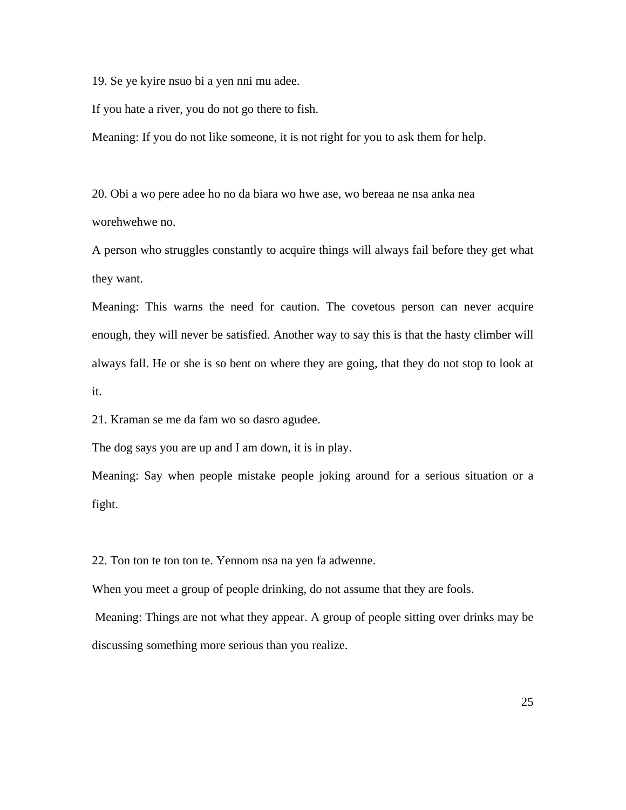19. Se ye kyire nsuo bi a yen nni mu adee.

If you hate a river, you do not go there to fish.

Meaning: If you do not like someone, it is not right for you to ask them for help.

20. Obi a wo pere adee ho no da biara wo hwe ase, wo bereaa ne nsa anka nea worehwehwe no.

A person who struggles constantly to acquire things will always fail before they get what they want.

Meaning: This warns the need for caution. The covetous person can never acquire enough, they will never be satisfied. Another way to say this is that the hasty climber will always fall. He or she is so bent on where they are going, that they do not stop to look at it.

21. Kraman se me da fam wo so dasro agudee.

The dog says you are up and I am down, it is in play.

Meaning: Say when people mistake people joking around for a serious situation or a fight.

22. Ton ton te ton ton te. Yennom nsa na yen fa adwenne.

When you meet a group of people drinking, do not assume that they are fools.

 Meaning: Things are not what they appear. A group of people sitting over drinks may be discussing something more serious than you realize.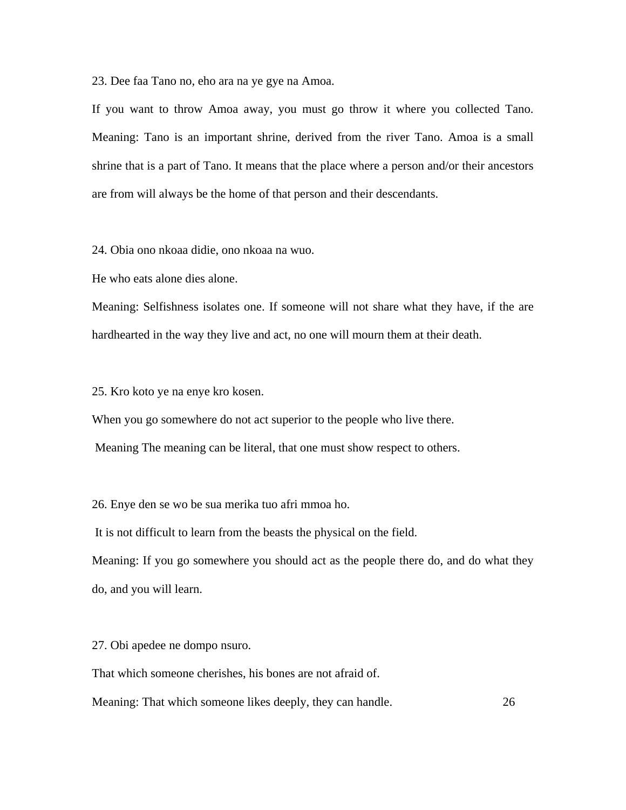23. Dee faa Tano no, eho ara na ye gye na Amoa.

If you want to throw Amoa away, you must go throw it where you collected Tano. Meaning: Tano is an important shrine, derived from the river Tano. Amoa is a small shrine that is a part of Tano. It means that the place where a person and/or their ancestors are from will always be the home of that person and their descendants.

24. Obia ono nkoaa didie, ono nkoaa na wuo.

He who eats alone dies alone.

Meaning: Selfishness isolates one. If someone will not share what they have, if the are hardhearted in the way they live and act, no one will mourn them at their death.

25. Kro koto ye na enye kro kosen.

When you go somewhere do not act superior to the people who live there.

Meaning The meaning can be literal, that one must show respect to others.

26. Enye den se wo be sua merika tuo afri mmoa ho.

It is not difficult to learn from the beasts the physical on the field.

Meaning: If you go somewhere you should act as the people there do, and do what they do, and you will learn.

27. Obi apedee ne dompo nsuro.

That which someone cherishes, his bones are not afraid of.

Meaning: That which someone likes deeply, they can handle. 26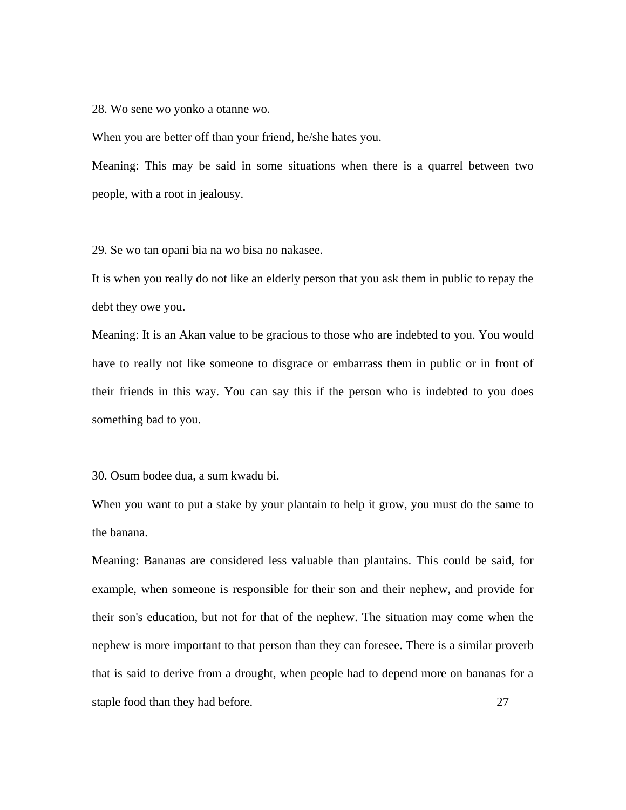28. Wo sene wo yonko a otanne wo.

When you are better off than your friend, he/she hates you.

Meaning: This may be said in some situations when there is a quarrel between two people, with a root in jealousy.

29. Se wo tan opani bia na wo bisa no nakasee.

It is when you really do not like an elderly person that you ask them in public to repay the debt they owe you.

Meaning: It is an Akan value to be gracious to those who are indebted to you. You would have to really not like someone to disgrace or embarrass them in public or in front of their friends in this way. You can say this if the person who is indebted to you does something bad to you.

30. Osum bodee dua, a sum kwadu bi.

When you want to put a stake by your plantain to help it grow, you must do the same to the banana.

Meaning: Bananas are considered less valuable than plantains. This could be said, for example, when someone is responsible for their son and their nephew, and provide for their son's education, but not for that of the nephew. The situation may come when the nephew is more important to that person than they can foresee. There is a similar proverb that is said to derive from a drought, when people had to depend more on bananas for a staple food than they had before. 27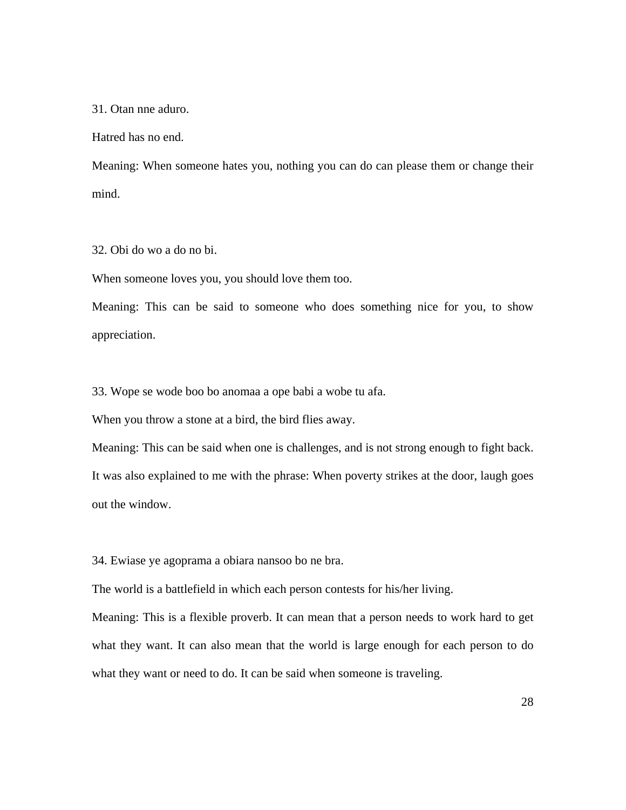31. Otan nne aduro.

Hatred has no end.

Meaning: When someone hates you, nothing you can do can please them or change their mind.

32. Obi do wo a do no bi.

When someone loves you, you should love them too.

Meaning: This can be said to someone who does something nice for you, to show appreciation.

33. Wope se wode boo bo anomaa a ope babi a wobe tu afa.

When you throw a stone at a bird, the bird flies away.

Meaning: This can be said when one is challenges, and is not strong enough to fight back. It was also explained to me with the phrase: When poverty strikes at the door, laugh goes out the window.

34. Ewiase ye agoprama a obiara nansoo bo ne bra.

The world is a battlefield in which each person contests for his/her living.

Meaning: This is a flexible proverb. It can mean that a person needs to work hard to get what they want. It can also mean that the world is large enough for each person to do what they want or need to do. It can be said when someone is traveling.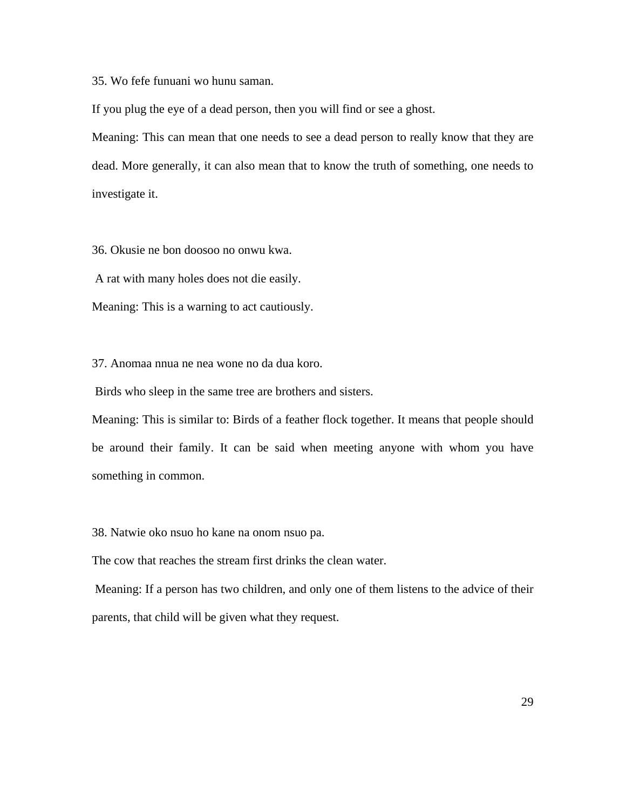35. Wo fefe funuani wo hunu saman.

If you plug the eye of a dead person, then you will find or see a ghost.

Meaning: This can mean that one needs to see a dead person to really know that they are dead. More generally, it can also mean that to know the truth of something, one needs to investigate it.

36. Okusie ne bon doosoo no onwu kwa.

A rat with many holes does not die easily.

Meaning: This is a warning to act cautiously.

37. Anomaa nnua ne nea wone no da dua koro.

Birds who sleep in the same tree are brothers and sisters.

Meaning: This is similar to: Birds of a feather flock together. It means that people should be around their family. It can be said when meeting anyone with whom you have something in common.

38. Natwie oko nsuo ho kane na onom nsuo pa.

The cow that reaches the stream first drinks the clean water.

 Meaning: If a person has two children, and only one of them listens to the advice of their parents, that child will be given what they request.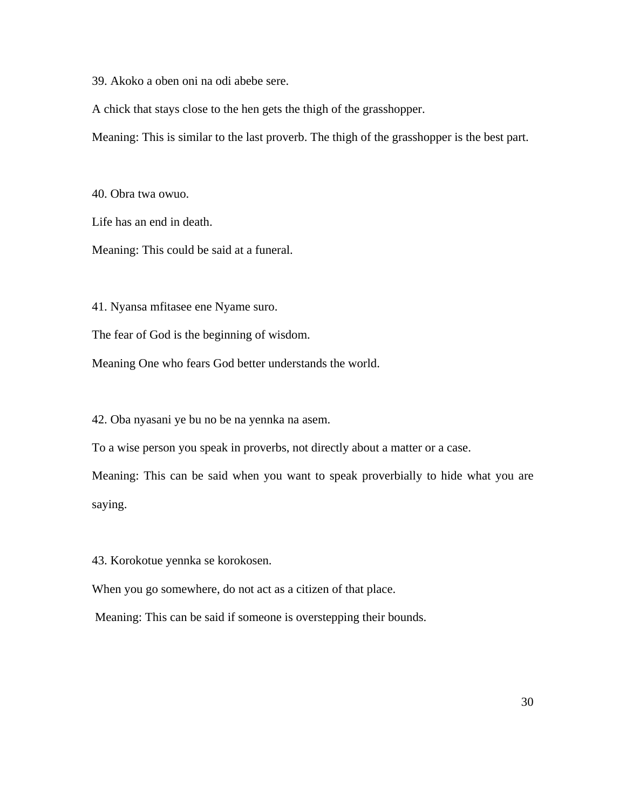39. Akoko a oben oni na odi abebe sere.

A chick that stays close to the hen gets the thigh of the grasshopper.

Meaning: This is similar to the last proverb. The thigh of the grasshopper is the best part.

40. Obra twa owuo.

Life has an end in death.

Meaning: This could be said at a funeral.

41. Nyansa mfitasee ene Nyame suro.

The fear of God is the beginning of wisdom.

Meaning One who fears God better understands the world.

42. Oba nyasani ye bu no be na yennka na asem.

To a wise person you speak in proverbs, not directly about a matter or a case.

Meaning: This can be said when you want to speak proverbially to hide what you are saying.

43. Korokotue yennka se korokosen.

When you go somewhere, do not act as a citizen of that place.

Meaning: This can be said if someone is overstepping their bounds.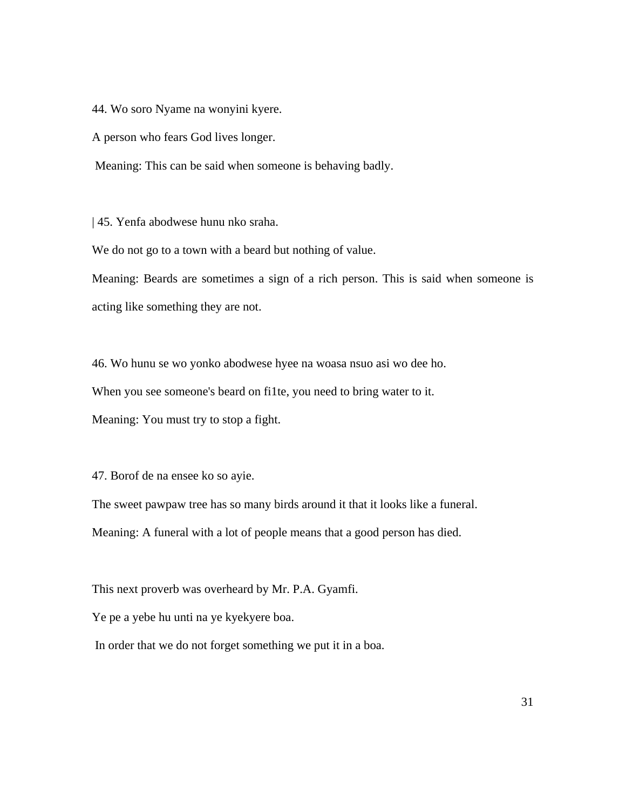44. Wo soro Nyame na wonyini kyere.

A person who fears God lives longer.

Meaning: This can be said when someone is behaving badly.

| 45. Yenfa abodwese hunu nko sraha.

We do not go to a town with a beard but nothing of value.

Meaning: Beards are sometimes a sign of a rich person. This is said when someone is acting like something they are not.

46. Wo hunu se wo yonko abodwese hyee na woasa nsuo asi wo dee ho. When you see someone's beard on fi1te, you need to bring water to it. Meaning: You must try to stop a fight.

47. Borof de na ensee ko so ayie.

The sweet pawpaw tree has so many birds around it that it looks like a funeral. Meaning: A funeral with a lot of people means that a good person has died.

This next proverb was overheard by Mr. P.A. Gyamfi.

Ye pe a yebe hu unti na ye kyekyere boa.

In order that we do not forget something we put it in a boa.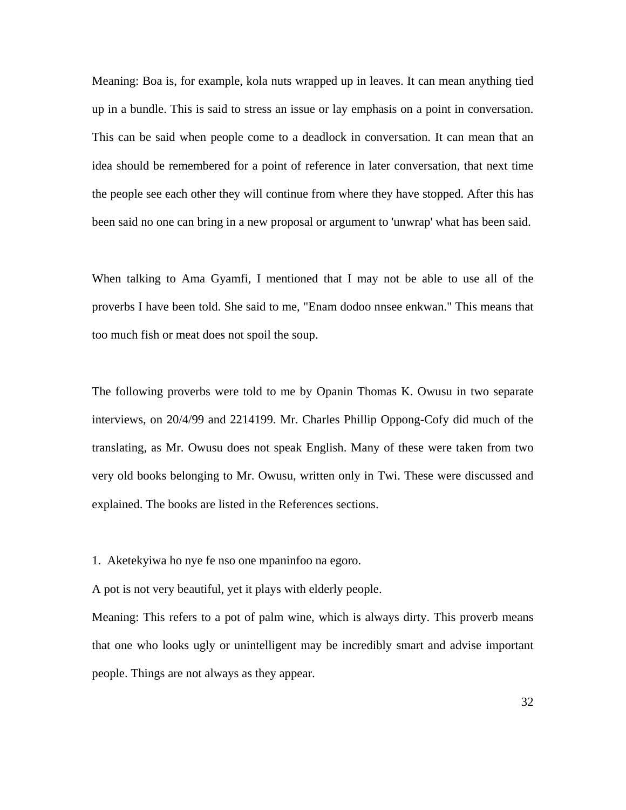Meaning: Boa is, for example, kola nuts wrapped up in leaves. It can mean anything tied up in a bundle. This is said to stress an issue or lay emphasis on a point in conversation. This can be said when people come to a deadlock in conversation. It can mean that an idea should be remembered for a point of reference in later conversation, that next time the people see each other they will continue from where they have stopped. After this has been said no one can bring in a new proposal or argument to 'unwrap' what has been said.

When talking to Ama Gyamfi, I mentioned that I may not be able to use all of the proverbs I have been told. She said to me, "Enam dodoo nnsee enkwan." This means that too much fish or meat does not spoil the soup.

The following proverbs were told to me by Opanin Thomas K. Owusu in two separate interviews, on 20/4/99 and 2214199. Mr. Charles Phillip Oppong-Cofy did much of the translating, as Mr. Owusu does not speak English. Many of these were taken from two very old books belonging to Mr. Owusu, written only in Twi. These were discussed and explained. The books are listed in the References sections.

1. Aketekyiwa ho nye fe nso one mpaninfoo na egoro.

A pot is not very beautiful, yet it plays with elderly people.

Meaning: This refers to a pot of palm wine, which is always dirty. This proverb means that one who looks ugly or unintelligent may be incredibly smart and advise important people. Things are not always as they appear.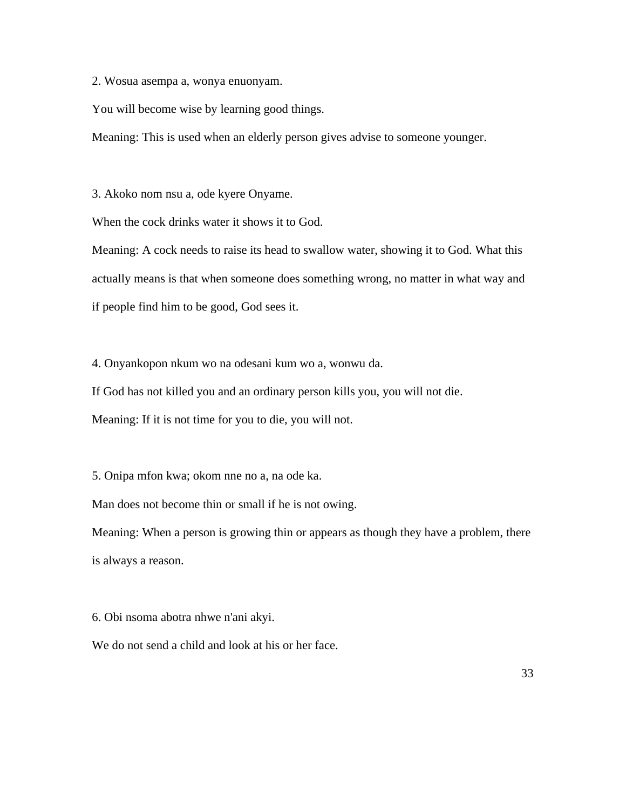2. Wosua asempa a, wonya enuonyam.

You will become wise by learning good things.

Meaning: This is used when an elderly person gives advise to someone younger.

3. Akoko nom nsu a, ode kyere Onyame.

When the cock drinks water it shows it to God.

Meaning: A cock needs to raise its head to swallow water, showing it to God. What this actually means is that when someone does something wrong, no matter in what way and if people find him to be good, God sees it.

4. Onyankopon nkum wo na odesani kum wo a, wonwu da.

If God has not killed you and an ordinary person kills you, you will not die.

Meaning: If it is not time for you to die, you will not.

5. Onipa mfon kwa; okom nne no a, na ode ka.

Man does not become thin or small if he is not owing.

Meaning: When a person is growing thin or appears as though they have a problem, there is always a reason.

6. Obi nsoma abotra nhwe n'ani akyi.

We do not send a child and look at his or her face.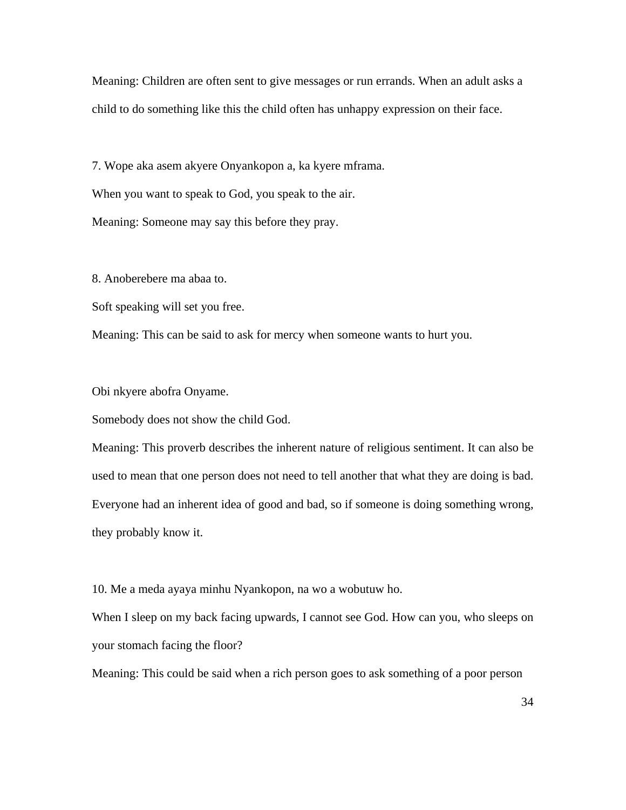Meaning: Children are often sent to give messages or run errands. When an adult asks a child to do something like this the child often has unhappy expression on their face.

7. Wope aka asem akyere Onyankopon a, ka kyere mframa.

When you want to speak to God, you speak to the air.

Meaning: Someone may say this before they pray.

8. Anoberebere ma abaa to.

Soft speaking will set you free.

Meaning: This can be said to ask for mercy when someone wants to hurt you.

Obi nkyere abofra Onyame.

Somebody does not show the child God.

Meaning: This proverb describes the inherent nature of religious sentiment. It can also be used to mean that one person does not need to tell another that what they are doing is bad. Everyone had an inherent idea of good and bad, so if someone is doing something wrong, they probably know it.

10. Me a meda ayaya minhu Nyankopon, na wo a wobutuw ho.

When I sleep on my back facing upwards, I cannot see God. How can you, who sleeps on your stomach facing the floor?

Meaning: This could be said when a rich person goes to ask something of a poor person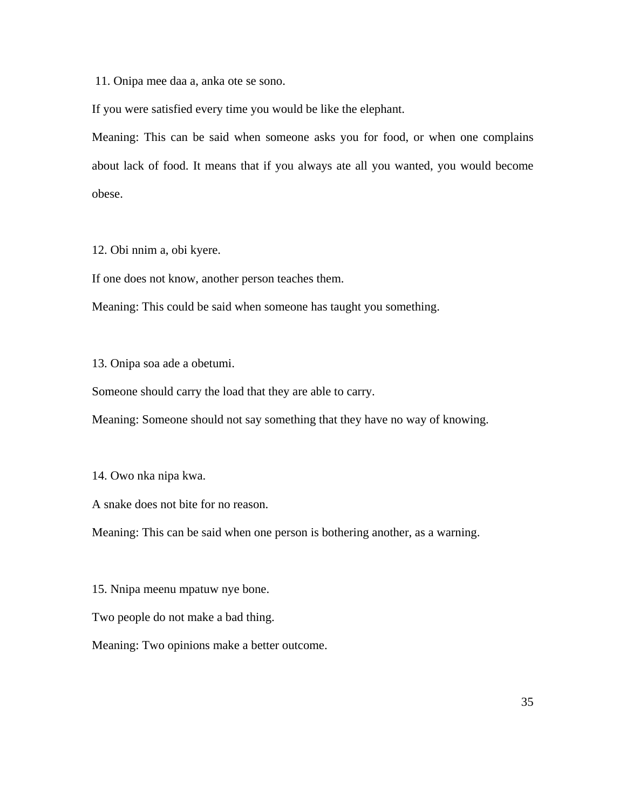11. Onipa mee daa a, anka ote se sono.

If you were satisfied every time you would be like the elephant.

Meaning: This can be said when someone asks you for food, or when one complains about lack of food. It means that if you always ate all you wanted, you would become obese.

12. Obi nnim a, obi kyere.

If one does not know, another person teaches them.

Meaning: This could be said when someone has taught you something.

13. Onipa soa ade a obetumi.

Someone should carry the load that they are able to carry.

Meaning: Someone should not say something that they have no way of knowing.

14. Owo nka nipa kwa.

A snake does not bite for no reason.

Meaning: This can be said when one person is bothering another, as a warning.

15. Nnipa meenu mpatuw nye bone.

Two people do not make a bad thing.

Meaning: Two opinions make a better outcome.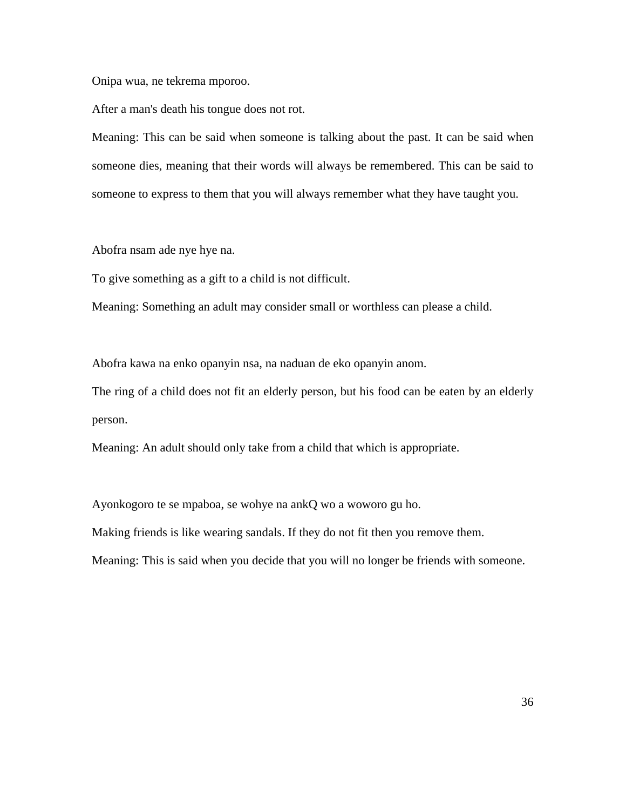Onipa wua, ne tekrema mporoo.

After a man's death his tongue does not rot.

Meaning: This can be said when someone is talking about the past. It can be said when someone dies, meaning that their words will always be remembered. This can be said to someone to express to them that you will always remember what they have taught you.

Abofra nsam ade nye hye na.

To give something as a gift to a child is not difficult.

Meaning: Something an adult may consider small or worthless can please a child.

Abofra kawa na enko opanyin nsa, na naduan de eko opanyin anom.

The ring of a child does not fit an elderly person, but his food can be eaten by an elderly person.

Meaning: An adult should only take from a child that which is appropriate.

Ayonkogoro te se mpaboa, se wohye na ankQ wo a woworo gu ho.

Making friends is like wearing sandals. If they do not fit then you remove them.

Meaning: This is said when you decide that you will no longer be friends with someone.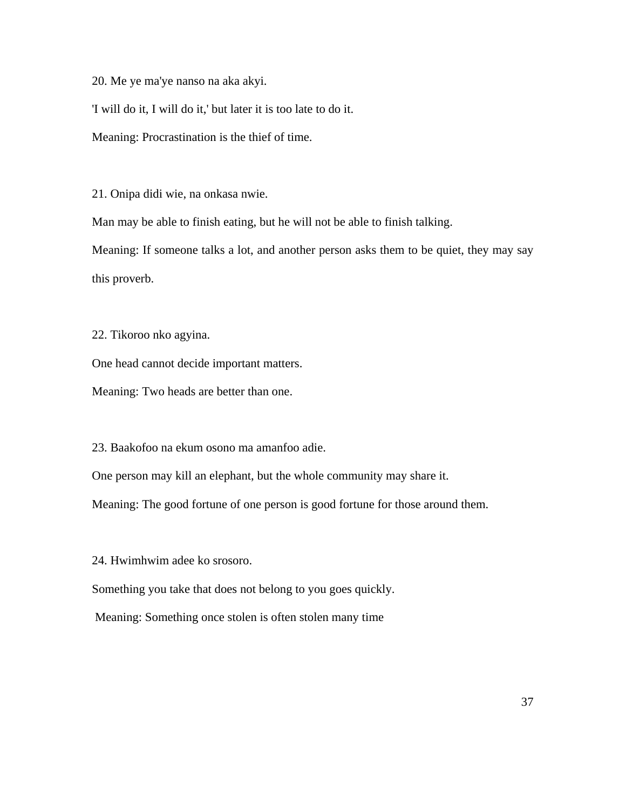20. Me ye ma'ye nanso na aka akyi.

'I will do it, I will do it,' but later it is too late to do it.

Meaning: Procrastination is the thief of time.

21. Onipa didi wie, na onkasa nwie.

Man may be able to finish eating, but he will not be able to finish talking.

Meaning: If someone talks a lot, and another person asks them to be quiet, they may say this proverb.

22. Tikoroo nko agyina.

One head cannot decide important matters.

Meaning: Two heads are better than one.

23. Baakofoo na ekum osono ma amanfoo adie.

One person may kill an elephant, but the whole community may share it.

Meaning: The good fortune of one person is good fortune for those around them.

24. Hwimhwim adee ko srosoro.

Something you take that does not belong to you goes quickly.

Meaning: Something once stolen is often stolen many time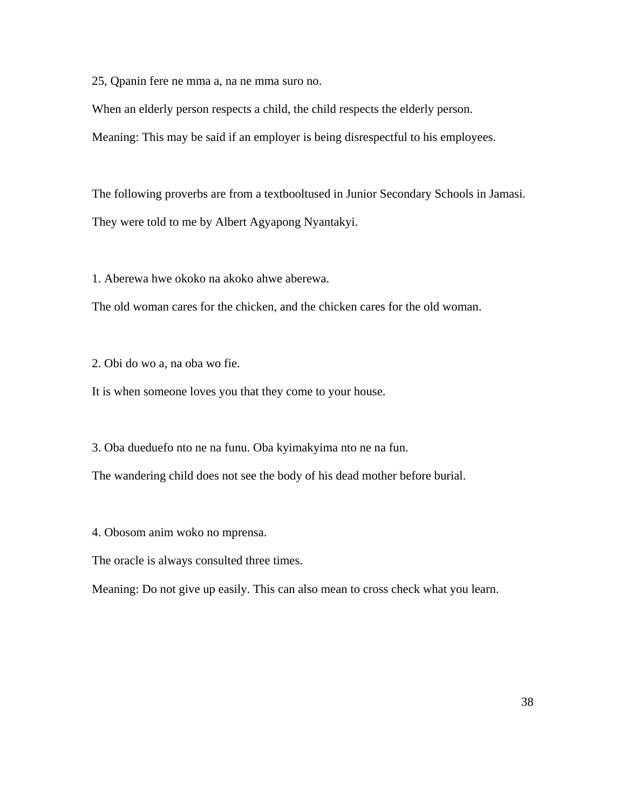25, Qpanin fere ne mma a, na ne mma suro no.

When an elderly person respects a child, the child respects the elderly person.

Meaning: This may be said if an employer is being disrespectful to his employees.

The following proverbs are from a textbooltused in Junior Secondary Schools in Jamasi. They were told to me by Albert Agyapong Nyantakyi.

1. Aberewa hwe okoko na akoko ahwe aberewa.

The old woman cares for the chicken, and the chicken cares for the old woman.

2. Obi do wo a, na oba wo fie.

It is when someone loves you that they come to your house.

3. Oba dueduefo nto ne na funu. Oba kyimakyima nto ne na fun.

The wandering child does not see the body of his dead mother before burial.

4. Obosom anim woko no mprensa.

The oracle is always consulted three times.

Meaning: Do not give up easily. This can also mean to cross check what you learn.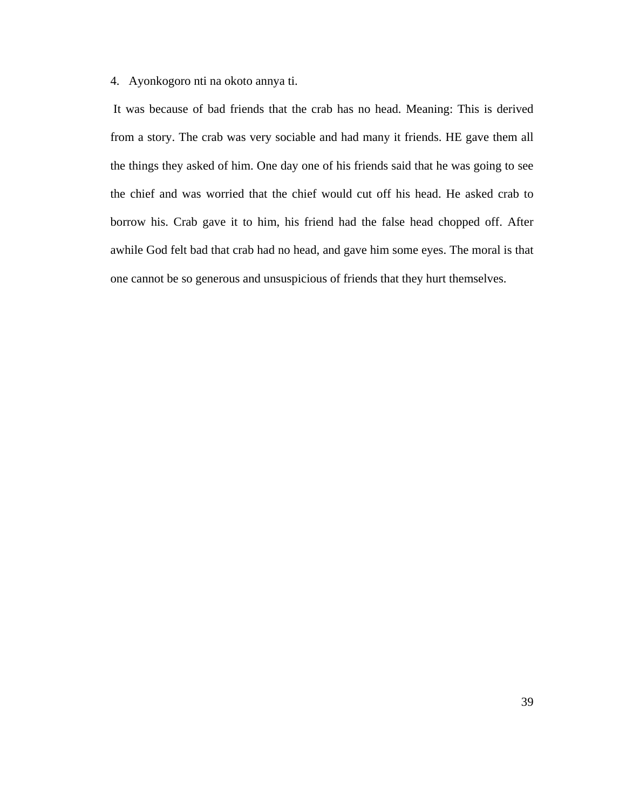4. Ayonkogoro nti na okoto annya ti.

 It was because of bad friends that the crab has no head. Meaning: This is derived from a story. The crab was very sociable and had many it friends. HE gave them all the things they asked of him. One day one of his friends said that he was going to see the chief and was worried that the chief would cut off his head. He asked crab to borrow his. Crab gave it to him, his friend had the false head chopped off. After awhile God felt bad that crab had no head, and gave him some eyes. The moral is that one cannot be so generous and unsuspicious of friends that they hurt themselves.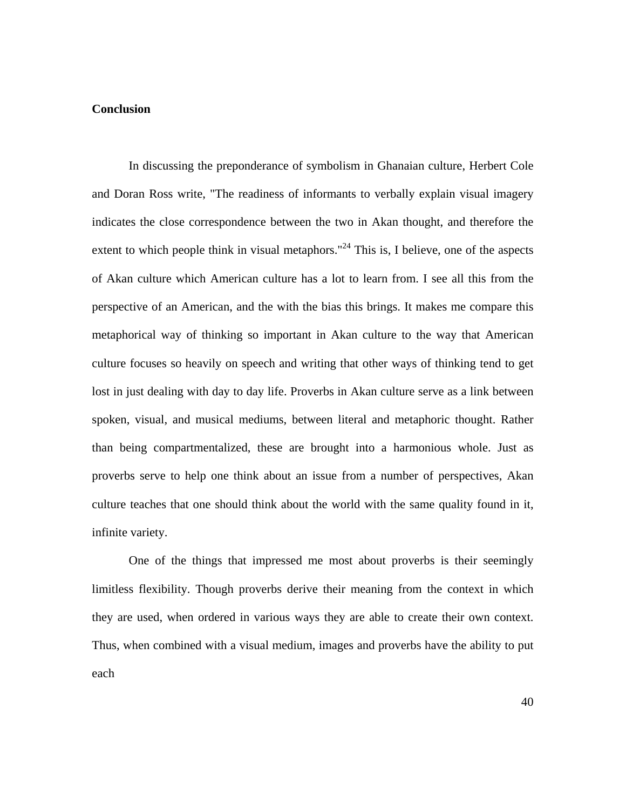#### **Conclusion**

In discussing the preponderance of symbolism in Ghanaian culture, Herbert Cole and Doran Ross write, "The readiness of informants to verbally explain visual imagery indicates the close correspondence between the two in Akan thought, and therefore the extent to which people think in visual metaphors."<sup>24</sup> This is, I believe, one of the aspects of Akan culture which American culture has a lot to learn from. I see all this from the perspective of an American, and the with the bias this brings. It makes me compare this metaphorical way of thinking so important in Akan culture to the way that American culture focuses so heavily on speech and writing that other ways of thinking tend to get lost in just dealing with day to day life. Proverbs in Akan culture serve as a link between spoken, visual, and musical mediums, between literal and metaphoric thought. Rather than being compartmentalized, these are brought into a harmonious whole. Just as proverbs serve to help one think about an issue from a number of perspectives, Akan culture teaches that one should think about the world with the same quality found in it, infinite variety.

One of the things that impressed me most about proverbs is their seemingly limitless flexibility. Though proverbs derive their meaning from the context in which they are used, when ordered in various ways they are able to create their own context. Thus, when combined with a visual medium, images and proverbs have the ability to put each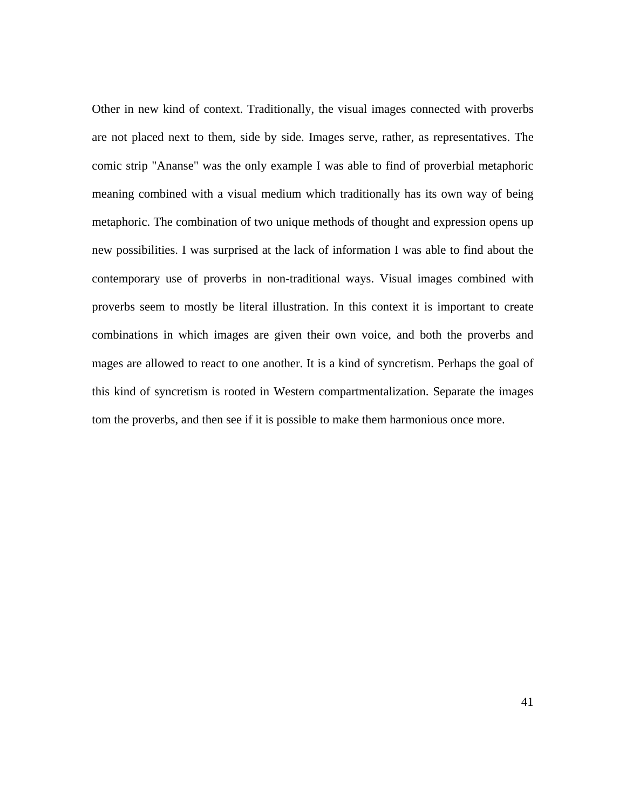Other in new kind of context. Traditionally, the visual images connected with proverbs are not placed next to them, side by side. Images serve, rather, as representatives. The comic strip "Ananse" was the only example I was able to find of proverbial metaphoric meaning combined with a visual medium which traditionally has its own way of being metaphoric. The combination of two unique methods of thought and expression opens up new possibilities. I was surprised at the lack of information I was able to find about the contemporary use of proverbs in non-traditional ways. Visual images combined with proverbs seem to mostly be literal illustration. In this context it is important to create combinations in which images are given their own voice, and both the proverbs and mages are allowed to react to one another. It is a kind of syncretism. Perhaps the goal of this kind of syncretism is rooted in Western compartmentalization. Separate the images tom the proverbs, and then see if it is possible to make them harmonious once more.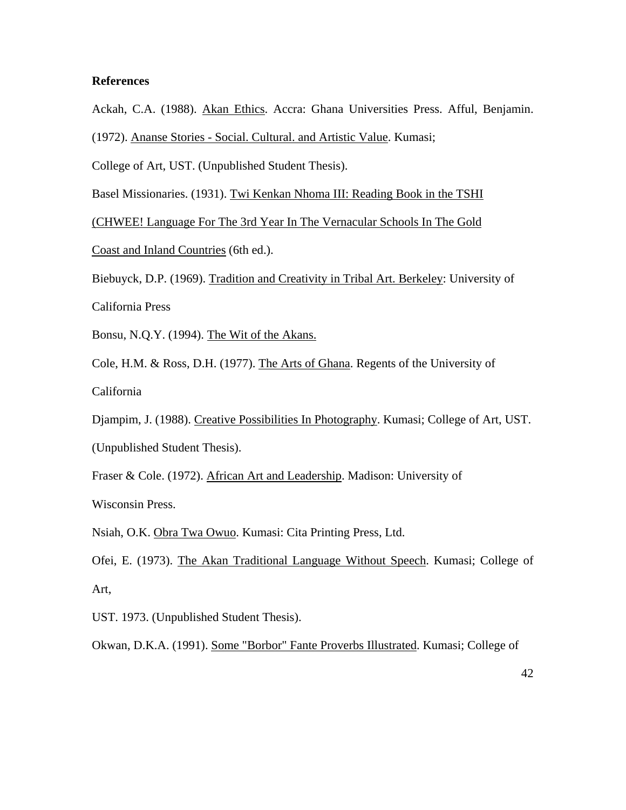#### **References**

Ackah, C.A. (1988). Akan Ethics. Accra: Ghana Universities Press. Afful, Benjamin.

(1972). Ananse Stories - Social. Cultural. and Artistic Value. Kumasi;

College of Art, UST. (Unpublished Student Thesis).

Basel Missionaries. (1931). Twi Kenkan Nhoma III: Reading Book in the TSHI

(CHWEE! Language For The 3rd Year In The Vernacular Schools In The Gold

Coast and Inland Countries (6th ed.).

Biebuyck, D.P. (1969). Tradition and Creativity in Tribal Art. Berkeley: University of California Press

Bonsu, N.Q.Y. (1994). The Wit of the Akans.

Cole, H.M. & Ross, D.H. (1977). The Arts of Ghana. Regents of the University of

California

Djampim, J. (1988). Creative Possibilities In Photography. Kumasi; College of Art, UST. (Unpublished Student Thesis).

Fraser & Cole. (1972). African Art and Leadership. Madison: University of

Wisconsin Press.

Nsiah, O.K. Obra Twa Owuo. Kumasi: Cita Printing Press, Ltd.

Ofei, E. (1973). The Akan Traditional Language Without Speech. Kumasi; College of Art,

UST. 1973. (Unpublished Student Thesis).

Okwan, D.K.A. (1991). Some "Borbor" Fante Proverbs Illustrated. Kumasi; College of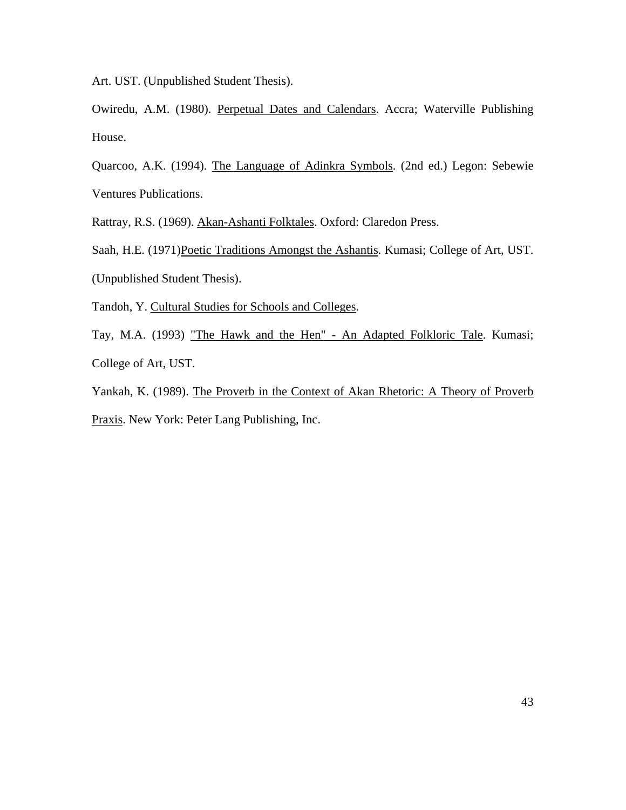Art. UST. (Unpublished Student Thesis).

Owiredu, A.M. (1980). Perpetual Dates and Calendars. Accra; Waterville Publishing House.

Quarcoo, A.K. (1994). The Language of Adinkra Symbols. (2nd ed.) Legon: Sebewie Ventures Publications.

Rattray, R.S. (1969). Akan-Ashanti Folktales. Oxford: Claredon Press.

Saah, H.E. (1971)Poetic Traditions Amongst the Ashantis. Kumasi; College of Art, UST. (Unpublished Student Thesis).

Tandoh, Y. Cultural Studies for Schools and Colleges.

Tay, M.A. (1993) "The Hawk and the Hen" - An Adapted Folkloric Tale. Kumasi; College of Art, UST.

Yankah, K. (1989). The Proverb in the Context of Akan Rhetoric: A Theory of Proverb Praxis. New York: Peter Lang Publishing, Inc.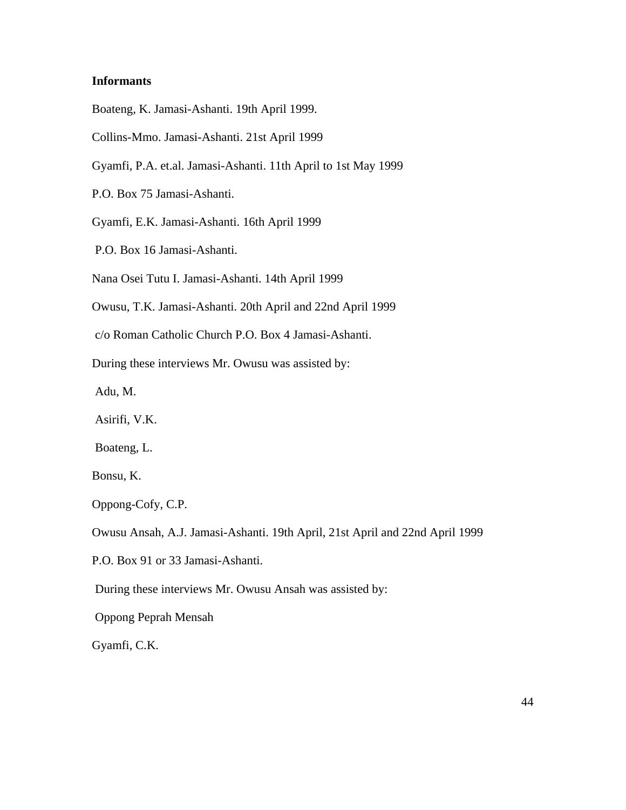#### **Informants**

Boateng, K. Jamasi-Ashanti. 19th April 1999.

Collins-Mmo. Jamasi-Ashanti. 21st April 1999

Gyamfi, P.A. et.al. Jamasi-Ashanti. 11th April to 1st May 1999

P.O. Box 75 Jamasi-Ashanti.

Gyamfi, E.K. Jamasi-Ashanti. 16th April 1999

P.O. Box 16 Jamasi-Ashanti.

Nana Osei Tutu I. Jamasi-Ashanti. 14th April 1999

Owusu, T.K. Jamasi-Ashanti. 20th April and 22nd April 1999

c/o Roman Catholic Church P.O. Box 4 Jamasi-Ashanti.

During these interviews Mr. Owusu was assisted by:

Adu, M.

Asirifi, V.K.

Boateng, L.

Bonsu, K.

Oppong-Cofy, C.P.

Owusu Ansah, A.J. Jamasi-Ashanti. 19th April, 21st April and 22nd April 1999

P.O. Box 91 or 33 Jamasi-Ashanti.

During these interviews Mr. Owusu Ansah was assisted by:

Oppong Peprah Mensah

Gyamfi, C.K.